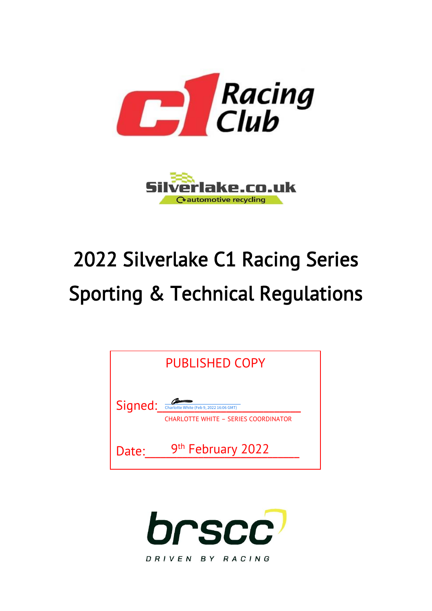



# 2022 Silverlake C1 Racing Series Sporting & Technical Regulations



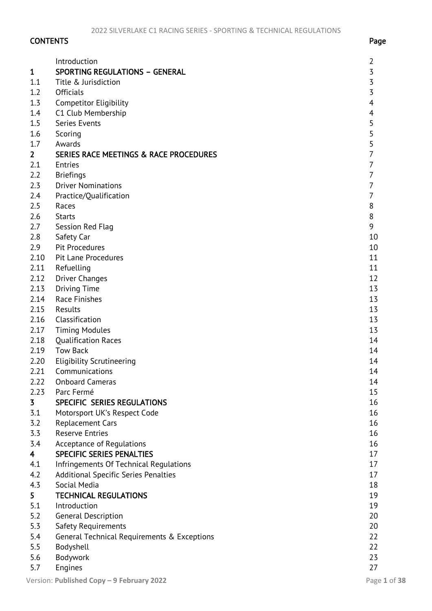# CONTENTS Page

| $\mathbf{1}$            | Introduction<br><b>SPORTING REGULATIONS - GENERAL</b> | 2<br>3              |
|-------------------------|-------------------------------------------------------|---------------------|
| 1.1                     | Title & Jurisdiction                                  | 3                   |
| 1.2                     | Officials                                             | 3                   |
| 1.3                     |                                                       | 4                   |
|                         | <b>Competitor Eligibility</b>                         |                     |
| 1.4<br>1.5              | C1 Club Membership<br>Series Events                   | 4                   |
|                         |                                                       | 5                   |
| 1.6<br>1.7              | Scoring<br>Awards                                     | 5                   |
|                         |                                                       | 5<br>$\overline{7}$ |
| $\overline{2}$          | SERIES RACE MEETINGS & RACE PROCEDURES                | $\overline{7}$      |
| 2.1                     | <b>Entries</b>                                        |                     |
| 2.2                     | <b>Briefings</b>                                      | $\overline{7}$      |
| 2.3                     | <b>Driver Nominations</b>                             | 7                   |
| 2.4                     | Practice/Qualification                                | 7                   |
| 2.5                     | Races                                                 | 8                   |
| 2.6                     | <b>Starts</b>                                         | 8                   |
| 2.7                     | Session Red Flag                                      | 9                   |
| 2.8                     | Safety Car                                            | 10                  |
| 2.9                     | <b>Pit Procedures</b>                                 | 10                  |
| 2.10                    | <b>Pit Lane Procedures</b>                            | 11                  |
| 2.11                    | Refuelling                                            | 11                  |
| 2.12                    | <b>Driver Changes</b>                                 | 12                  |
| 2.13                    | <b>Driving Time</b>                                   | 13                  |
| 2.14                    | Race Finishes                                         | 13                  |
| 2.15                    | Results                                               | 13                  |
| 2.16                    | Classification                                        | 13                  |
| 2.17                    | <b>Timing Modules</b>                                 | 13                  |
| 2.18                    | <b>Qualification Races</b>                            | 14                  |
| 2.19                    | <b>Tow Back</b>                                       | 14                  |
| 2.20                    | <b>Eligibility Scrutineering</b>                      | 14                  |
| 2.21                    | Communications                                        | 14                  |
| 2.22                    | <b>Onboard Cameras</b>                                | 14                  |
| 2.23                    | Parc Fermé                                            | 15                  |
| 3                       | SPECIFIC SERIES REGULATIONS                           | 16                  |
| 3.1                     | Motorsport UK's Respect Code                          | 16                  |
| 3.2                     | <b>Replacement Cars</b>                               | 16                  |
| 3.3                     | <b>Reserve Entries</b>                                | 16                  |
| 3.4                     | Acceptance of Regulations                             | 16                  |
| $\overline{\mathbf{4}}$ | <b>SPECIFIC SERIES PENALTIES</b>                      | 17                  |
| 4.1                     | Infringements Of Technical Regulations                | 17                  |
| 4.2                     | Additional Specific Series Penalties                  | 17                  |
| 4.3                     | Social Media                                          | 18                  |
| 5                       | <b>TECHNICAL REGULATIONS</b>                          | 19                  |
| 5.1                     | Introduction                                          | 19                  |
| 5.2                     | <b>General Description</b>                            | 20                  |
| 5.3                     | Safety Requirements                                   | 20                  |
| 5.4                     | General Technical Requirements & Exceptions           | 22                  |
| 5.5                     | Bodyshell                                             | 22                  |
| 5.6                     | Bodywork                                              | 23                  |
| 5.7                     | Engines                                               | 27                  |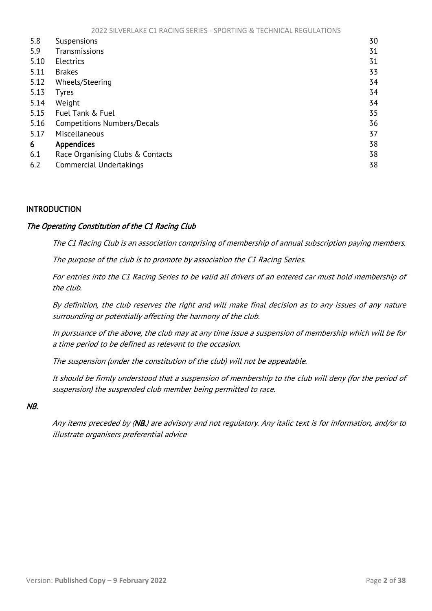<span id="page-2-1"></span>

| 5.8  | Suspensions                        | 30 |
|------|------------------------------------|----|
| 5.9  | Transmissions                      | 31 |
| 5.10 | <b>Electrics</b>                   | 31 |
| 5.11 | <b>Brakes</b>                      | 33 |
| 5.12 | Wheels/Steering                    | 34 |
| 5.13 | Tyres                              | 34 |
| 5.14 | Weight                             | 34 |
| 5.15 | Fuel Tank & Fuel                   | 35 |
| 5.16 | <b>Competitions Numbers/Decals</b> | 36 |
| 5.17 | Miscellaneous                      | 37 |
| 6    | <b>Appendices</b>                  | 38 |
| 6.1  | Race Organising Clubs & Contacts   | 38 |
| 6.2  | Commercial Undertakings            | 38 |

# <span id="page-2-0"></span>INTRODUCTION

## The Operating Constitution of the C1 Racing Club

The C1 Racing Club is an association comprising of membership of annual subscription paying members.

The purpose of the club is to promote by association the C1 Racing Series.

For entries into the C1 Racing Series to be valid all drivers of an entered car must hold membership of the club.

By definition, the club reserves the right and will make final decision as to any issues of any nature surrounding or potentially affecting the harmony of the club.

In pursuance of the above, the club may at any time issue a suspension of membership which will be for a time period to be defined as relevant to the occasion.

The suspension (under the constitution of the club) will not be appealable.

It should be firmly understood that a suspension of membership to the club will deny (for the period of suspension) the suspended club member being permitted to race.

#### NB.

Any items preceded by (NB.) are advisory and not regulatory. Any italic text is for information, and/or to illustrate organisers preferential advice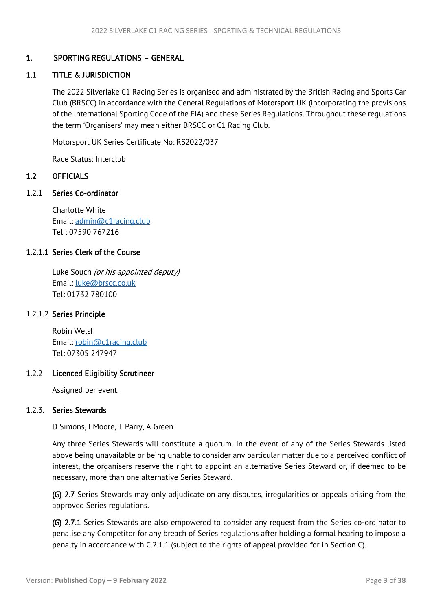# <span id="page-3-3"></span><span id="page-3-0"></span>1. SPORTING REGULATIONS – GENERAL

# <span id="page-3-1"></span>1.1 TITLE & JURISDICTION

The 2022 Silverlake C1 Racing Series is organised and administrated by the British Racing and Sports Car Club (BRSCC) in accordance with the General Regulations of Motorsport UK (incorporating the provisions of the International Sporting Code of the FIA) and these Series Regulations. Throughout these regulations the term 'Organisers' may mean either BRSCC or C1 Racing Club.

Motorsport UK Series Certificate No: RS2022/037

Race Status: Interclub

## <span id="page-3-2"></span>1.2 OFFICIALS

1.2.1 Series Co-ordinator

Charlotte White Email: [admin@c1racing.club](mailto:admin@c1racing.club) Tel : 07590 767216

## 1.2.1.1 Series Clerk of the Course

Luke Souch (or his appointed deputy) Email: [luke@brscc.co.uk](mailto:luke@brscc.co.uk) Tel: 01732 780100

#### 1.2.1.2 Series Principle

 Robin Welsh Email: [robin@c1racing.club](mailto:robin@c1racing.club) Tel: 07305 247947

#### 1.2.2 Licenced Eligibility Scrutineer

Assigned per event.

#### 1.2.3. Series Stewards

D Simons, I Moore, T Parry, A Green

Any three Series Stewards will constitute a quorum. In the event of any of the Series Stewards listed above being unavailable or being unable to consider any particular matter due to a perceived conflict of interest, the organisers reserve the right to appoint an alternative Series Steward or, if deemed to be necessary, more than one alternative Series Steward.

(G) 2.7 Series Stewards may only adjudicate on any disputes, irregularities or appeals arising from the approved Series regulations.

(G) 2.7.1 Series Stewards are also empowered to consider any request from the Series co-ordinator to penalise any Competitor for any breach of Series regulations after holding a formal hearing to impose a penalty in accordance with C.2.1.1 (subject to the rights of appeal provided for in Section C).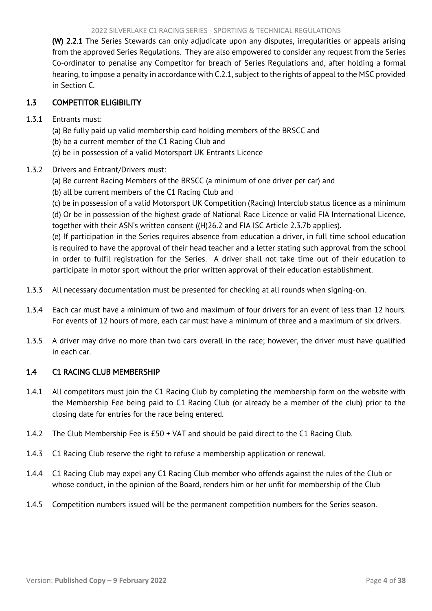#### 2022 SILVERLAKE C1 RACING SERIES - SPORTING & TECHNICAL REGULATIONS

<span id="page-4-2"></span>(W) 2.2.1 The Series Stewards can only adjudicate upon any disputes, irregularities or appeals arising from the approved Series Regulations. They are also empowered to consider any request from the Series Co-ordinator to penalise any Competitor for breach of Series Regulations and, after holding a formal hearing, to impose a penalty in accordance with C.2.1, subject to the rights of appeal to the MSC provided in Section C.

# <span id="page-4-0"></span>1.3 COMPETITOR ELIGIBILITY

## 1.3.1 Entrants must:

- (a) Be fully paid up valid membership card holding members of the BRSCC and
- (b) be a current member of the C1 Racing Club and
- (c) be in possession of a valid Motorsport UK Entrants Licence

## 1.3.2 Drivers and Entrant/Drivers must:

- (a) Be current Racing Members of the BRSCC (a minimum of one driver per car) and
- (b) all be current members of the C1 Racing Club and

(c) be in possession of a valid Motorsport UK Competition (Racing) Interclub status licence as a minimum (d) Or be in possession of the highest grade of National Race Licence or valid FIA International Licence, together with their ASN's written consent ((H)26.2 and FIA ISC Article 2.3.7b applies).

(e) If participation in the Series requires absence from education a driver, in full time school education is required to have the approval of their head teacher and a letter stating such approval from the school in order to fulfil registration for the Series. A driver shall not take time out of their education to participate in motor sport without the prior written approval of their education establishment.

- 1.3.3 All necessary documentation must be presented for checking at all rounds when signing-on.
- 1.3.4 Each car must have a minimum of two and maximum of four drivers for an event of less than 12 hours. For events of 12 hours of more, each car must have a minimum of three and a maximum of six drivers.
- 1.3.5 A driver may drive no more than two cars overall in the race; however, the driver must have qualified in each car.

#### <span id="page-4-1"></span>1.4 C1 RACING CLUB MEMBERSHIP

- 1.4.1 All competitors must join the C1 Racing Club by completing the membership form on the website with the Membership Fee being paid to C1 Racing Club (or already be a member of the club) prior to the closing date for entries for the race being entered.
- 1.4.2 The Club Membership Fee is £50 + VAT and should be paid direct to the C1 Racing Club.
- 1.4.3 C1 Racing Club reserve the right to refuse a membership application or renewal.
- 1.4.4 C1 Racing Club may expel any C1 Racing Club member who offends against the rules of the Club or whose conduct, in the opinion of the Board, renders him or her unfit for membership of the Club
- 1.4.5 Competition numbers issued will be the permanent competition numbers for the Series season.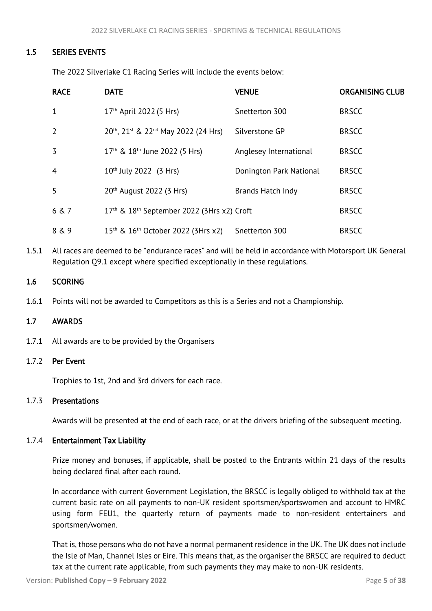## <span id="page-5-3"></span>1.5 SERIES EVENTS

<span id="page-5-0"></span>The 2022 Silverlake C1 Racing Series will include the events below:

| <b>RACE</b>    | <b>DATE</b>                                                        | <b>VENUE</b>            | <b>ORGANISING CLUB</b> |
|----------------|--------------------------------------------------------------------|-------------------------|------------------------|
| 1              | 17 <sup>th</sup> April 2022 (5 Hrs)                                | Snetterton 300          | <b>BRSCC</b>           |
| $\overline{2}$ | 20th, 21st & 22nd May 2022 (24 Hrs)                                | Silverstone GP          | <b>BRSCC</b>           |
| 3              | 17 <sup>th</sup> & 18 <sup>th</sup> June 2022 (5 Hrs)              | Anglesey International  | <b>BRSCC</b>           |
| $\overline{4}$ | $10^{th}$ July 2022 (3 Hrs)                                        | Donington Park National | <b>BRSCC</b>           |
| 5              | 20th August 2022 (3 Hrs)                                           | Brands Hatch Indy       | <b>BRSCC</b>           |
| 6 & 7          | 17 <sup>th</sup> & 18 <sup>th</sup> September 2022 (3Hrs x2) Croft |                         | <b>BRSCC</b>           |
| 8 & 9          | 15 <sup>th</sup> & 16 <sup>th</sup> October 2022 (3Hrs x2)         | Snetterton 300          | <b>BRSCC</b>           |

1.5.1 All races are deemed to be "endurance races" and will be held in accordance with Motorsport UK General Regulation Q9.1 except where specified exceptionally in these regulations.

#### <span id="page-5-1"></span>1.6 SCORING

1.6.1 Points will not be awarded to Competitors as this is a Series and not a Championship.

#### <span id="page-5-2"></span>1.7 AWARDS

1.7.1 All awards are to be provided by the Organisers

#### 1.7.2 Per Event

Trophies to 1st, 2nd and 3rd drivers for each race.

#### 1.7.3 Presentations

Awards will be presented at the end of each race, or at the drivers briefing of the subsequent meeting.

#### 1.7.4 Entertainment Tax Liability

Prize money and bonuses, if applicable, shall be posted to the Entrants within 21 days of the results being declared final after each round.

In accordance with current Government Legislation, the BRSCC is legally obliged to withhold tax at the current basic rate on all payments to non-UK resident sportsmen/sportswomen and account to HMRC using form FEU1, the quarterly return of payments made to non-resident entertainers and sportsmen/women.

That is, those persons who do not have a normal permanent residence in the UK. The UK does not include the Isle of Man, Channel Isles or Eire. This means that, as the organiser the BRSCC are required to deduct tax at the current rate applicable, from such payments they may make to non-UK residents.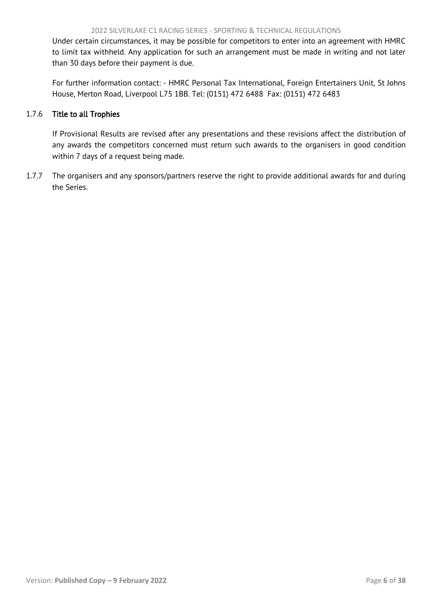Under certain circumstances, it may be possible for competitors to enter into an agreement with HMRC to limit tax withheld. Any application for such an arrangement must be made in writing and not later than 30 days before their payment is due.

For further information contact: - HMRC Personal Tax International, Foreign Entertainers Unit, St Johns House, Merton Road, Liverpool L75 1BB. Tel: (0151) 472 6488 Fax: (0151) 472 6483

## 1.7.6 Title to all Trophies

If Provisional Results are revised after any presentations and these revisions affect the distribution of any awards the competitors concerned must return such awards to the organisers in good condition within 7 days of a request being made.

1.7.7 The organisers and any sponsors/partners reserve the right to provide additional awards for and during the Series.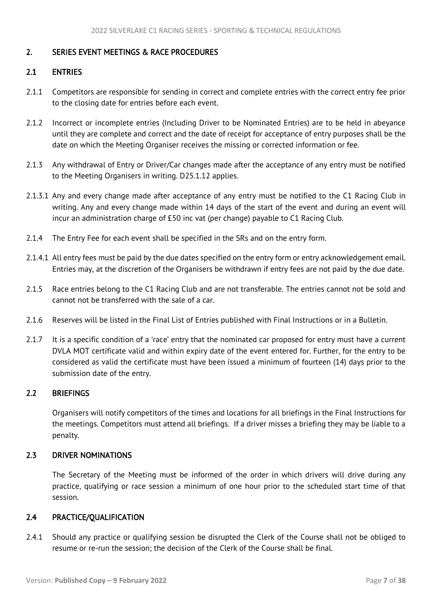# <span id="page-7-5"></span><span id="page-7-0"></span>2. SERIES EVENT MEETINGS & RACE PROCEDURES

## <span id="page-7-1"></span>2.1 ENTRIES

- 2.1.1 Competitors are responsible for sending in correct and complete entries with the correct entry fee prior to the closing date for entries before each event.
- 2.1.2 Incorrect or incomplete entries (Including Driver to be Nominated Entries) are to be held in abeyance until they are complete and correct and the date of receipt for acceptance of entry purposes shall be the date on which the Meeting Organiser receives the missing or corrected information or fee.
- 2.1.3 Any withdrawal of Entry or Driver/Car changes made after the acceptance of any entry must be notified to the Meeting Organisers in writing. D25.1.12 applies.
- 2.1.3.1 Any and every change made after acceptance of any entry must be notified to the C1 Racing Club in writing. Any and every change made within 14 days of the start of the event and during an event will incur an administration charge of £50 inc vat (per change) payable to C1 Racing Club.
- 2.1.4 The Entry Fee for each event shall be specified in the SRs and on the entry form.
- 2.1.4.1 All entry fees must be paid by the due dates specified on the entry form or entry acknowledgement email. Entries may, at the discretion of the Organisers be withdrawn if entry fees are not paid by the due date.
- 2.1.5 Race entries belong to the C1 Racing Club and are not transferable. The entries cannot not be sold and cannot not be transferred with the sale of a car.
- 2.1.6 Reserves will be listed in the Final List of Entries published with Final Instructions or in a Bulletin.
- 2.1.7 It is a specific condition of a 'race' entry that the nominated car proposed for entry must have a current DVLA MOT certificate valid and within expiry date of the event entered for. Further, for the entry to be considered as valid the certificate must have been issued a minimum of fourteen (14) days prior to the submission date of the entry.

# <span id="page-7-2"></span>2.2 BRIEFINGS

Organisers will notify competitors of the times and locations for all briefings in the Final Instructions for the meetings. Competitors must attend all briefings. If a driver misses a briefing they may be liable to a penalty.

#### <span id="page-7-3"></span>2.3 DRIVER NOMINATIONS

The Secretary of the Meeting must be informed of the order in which drivers will drive during any practice, qualifying or race session a minimum of one hour prior to the scheduled start time of that session.

## <span id="page-7-4"></span>2.4 PRACTICE/QUALIFICATION

2.4.1 Should any practice or qualifying session be disrupted the Clerk of the Course shall not be obliged to resume or re-run the session; the decision of the Clerk of the Course shall be final.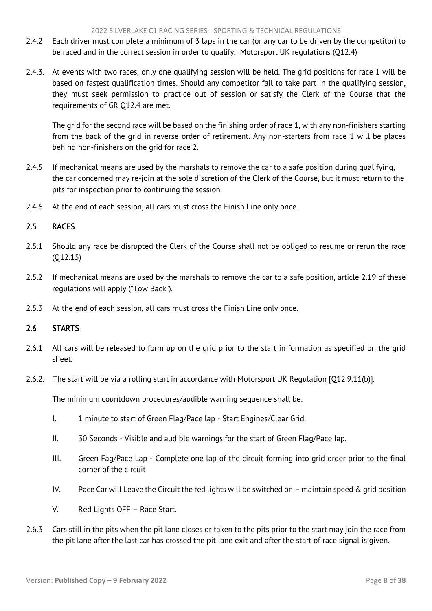- <span id="page-8-2"></span>2.4.2 Each driver must complete a minimum of 3 laps in the car (or any car to be driven by the competitor) to be raced and in the correct session in order to qualify. Motorsport UK regulations (Q12.4)
- 2.4.3. At events with two races, only one qualifying session will be held. The grid positions for race 1 will be based on fastest qualification times. Should any competitor fail to take part in the qualifying session, they must seek permission to practice out of session or satisfy the Clerk of the Course that the requirements of GR Q12.4 are met.

The grid for the second race will be based on the finishing order of race 1, with any non-finishers starting from the back of the grid in reverse order of retirement. Any non-starters from race 1 will be places behind non-finishers on the grid for race 2.

- 2.4.5 If mechanical means are used by the marshals to remove the car to a safe position during qualifying, the car concerned may re-join at the sole discretion of the Clerk of the Course, but it must return to the pits for inspection prior to continuing the session.
- 2.4.6 At the end of each session, all cars must cross the Finish Line only once.

# <span id="page-8-0"></span>2.5 RACES

- 2.5.1 Should any race be disrupted the Clerk of the Course shall not be obliged to resume or rerun the race (Q12.15)
- 2.5.2 If mechanical means are used by the marshals to remove the car to a safe position, article 2.19 of these regulations will apply ("Tow Back").
- 2.5.3 At the end of each session, all cars must cross the Finish Line only once.

# <span id="page-8-1"></span>2.6 STARTS

- 2.6.1 All cars will be released to form up on the grid prior to the start in formation as specified on the grid sheet.
- 2.6.2. The start will be via a rolling start in accordance with Motorsport UK Regulation [Q12.9.11(b)].

The minimum countdown procedures/audible warning sequence shall be:

- I. 1 minute to start of Green Flag/Pace lap Start Engines/Clear Grid.
- II. 30 Seconds Visible and audible warnings for the start of Green Flag/Pace lap.
- III. Green Fag/Pace Lap Complete one lap of the circuit forming into grid order prior to the final corner of the circuit
- IV. Pace Car will Leave the Circuit the red lights will be switched on maintain speed & grid position
- V. Red Lights OFF Race Start.
- 2.6.3 Cars still in the pits when the pit lane closes or taken to the pits prior to the start may join the race from the pit lane after the last car has crossed the pit lane exit and after the start of race signal is given.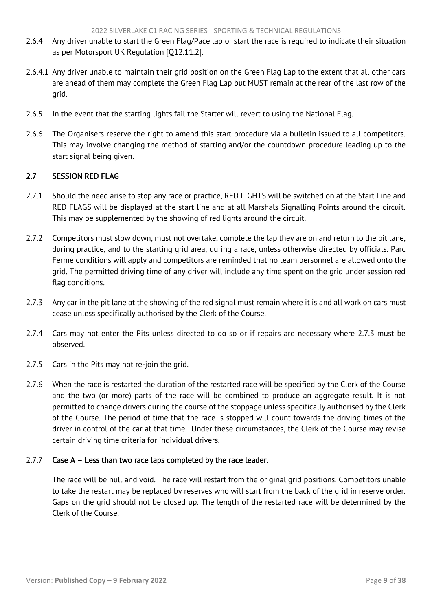- <span id="page-9-1"></span>2.6.4 Any driver unable to start the Green Flag/Pace lap or start the race is required to indicate their situation as per Motorsport UK Regulation [Q12.11.2].
- 2.6.4.1 Any driver unable to maintain their grid position on the Green Flag Lap to the extent that all other cars are ahead of them may complete the Green Flag Lap but MUST remain at the rear of the last row of the grid.
- 2.6.5 In the event that the starting lights fail the Starter will revert to using the National Flag.
- 2.6.6 The Organisers reserve the right to amend this start procedure via a bulletin issued to all competitors. This may involve changing the method of starting and/or the countdown procedure leading up to the start signal being given.

# <span id="page-9-0"></span>2.7 SESSION RED FLAG

- 2.7.1 Should the need arise to stop any race or practice, RED LIGHTS will be switched on at the Start Line and RED FLAGS will be displayed at the start line and at all Marshals Signalling Points around the circuit. This may be supplemented by the showing of red lights around the circuit.
- 2.7.2 Competitors must slow down, must not overtake, complete the lap they are on and return to the pit lane, during practice, and to the starting grid area, during a race, unless otherwise directed by officials. Parc Fermé conditions will apply and competitors are reminded that no team personnel are allowed onto the grid. The permitted driving time of any driver will include any time spent on the grid under session red flag conditions.
- 2.7.3 Any car in the pit lane at the showing of the red signal must remain where it is and all work on cars must cease unless specifically authorised by the Clerk of the Course.
- 2.7.4 Cars may not enter the Pits unless directed to do so or if repairs are necessary where 2.7.3 must be observed.
- 2.7.5 Cars in the Pits may not re-join the grid.
- 2.7.6 When the race is restarted the duration of the restarted race will be specified by the Clerk of the Course and the two (or more) parts of the race will be combined to produce an aggregate result. It is not permitted to change drivers during the course of the stoppage unless specifically authorised by the Clerk of the Course. The period of time that the race is stopped will count towards the driving times of the driver in control of the car at that time. Under these circumstances, the Clerk of the Course may revise certain driving time criteria for individual drivers.

#### 2.7.7 Case A – Less than two race laps completed by the race leader.

The race will be null and void. The race will restart from the original grid positions. Competitors unable to take the restart may be replaced by reserves who will start from the back of the grid in reserve order. Gaps on the grid should not be closed up. The length of the restarted race will be determined by the Clerk of the Course.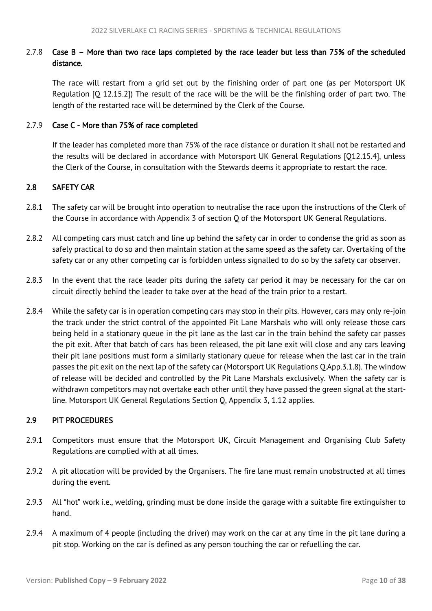# <span id="page-10-2"></span>2.7.8 Case B – More than two race laps completed by the race leader but less than 75% of the scheduled distance.

The race will restart from a grid set out by the finishing order of part one (as per Motorsport UK Regulation [Q 12.15.2]) The result of the race will be the will be the finishing order of part two. The length of the restarted race will be determined by the Clerk of the Course.

## 2.7.9 Case C - More than 75% of race completed

If the leader has completed more than 75% of the race distance or duration it shall not be restarted and the results will be declared in accordance with Motorsport UK General Regulations [Q12.15.4], unless the Clerk of the Course, in consultation with the Stewards deems it appropriate to restart the race.

## <span id="page-10-0"></span>2.8 SAFETY CAR

- 2.8.1 The safety car will be brought into operation to neutralise the race upon the instructions of the Clerk of the Course in accordance with Appendix 3 of section Q of the Motorsport UK General Regulations.
- 2.8.2 All competing cars must catch and line up behind the safety car in order to condense the grid as soon as safely practical to do so and then maintain station at the same speed as the safety car. Overtaking of the safety car or any other competing car is forbidden unless signalled to do so by the safety car observer.
- 2.8.3 In the event that the race leader pits during the safety car period it may be necessary for the car on circuit directly behind the leader to take over at the head of the train prior to a restart.
- 2.8.4 While the safety car is in operation competing cars may stop in their pits. However, cars may only re-join the track under the strict control of the appointed Pit Lane Marshals who will only release those cars being held in a stationary queue in the pit lane as the last car in the train behind the safety car passes the pit exit. After that batch of cars has been released, the pit lane exit will close and any cars leaving their pit lane positions must form a similarly stationary queue for release when the last car in the train passes the pit exit on the next lap of the safety car (Motorsport UK Regulations Q.App.3.1.8). The window of release will be decided and controlled by the Pit Lane Marshals exclusively. When the safety car is withdrawn competitors may not overtake each other until they have passed the green signal at the startline. Motorsport UK General Regulations Section Q, Appendix 3, 1.12 applies.

#### <span id="page-10-1"></span>2.9 PIT PROCEDURES

- 2.9.1 Competitors must ensure that the Motorsport UK, Circuit Management and Organising Club Safety Regulations are complied with at all times.
- 2.9.2 A pit allocation will be provided by the Organisers. The fire lane must remain unobstructed at all times during the event.
- 2.9.3 All "hot" work i.e., welding, grinding must be done inside the garage with a suitable fire extinguisher to hand.
- 2.9.4 A maximum of 4 people (including the driver) may work on the car at any time in the pit lane during a pit stop. Working on the car is defined as any person touching the car or refuelling the car.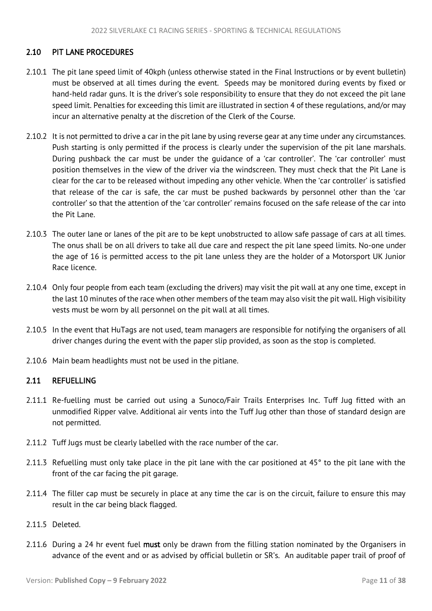## <span id="page-11-2"></span><span id="page-11-0"></span>2.10 PIT LANE PROCEDURES

- 2.10.1 The pit lane speed limit of 40kph (unless otherwise stated in the Final Instructions or by event bulletin) must be observed at all times during the event. Speeds may be monitored during events by fixed or hand-held radar guns. It is the driver's sole responsibility to ensure that they do not exceed the pit lane speed limit. Penalties for exceeding this limit are illustrated in section 4 of these regulations, and/or may incur an alternative penalty at the discretion of the Clerk of the Course.
- 2.10.2 It is not permitted to drive a car in the pit lane by using reverse gear at any time under any circumstances. Push starting is only permitted if the process is clearly under the supervision of the pit lane marshals. During pushback the car must be under the guidance of a 'car controller'. The 'car controller' must position themselves in the view of the driver via the windscreen. They must check that the Pit Lane is clear for the car to be released without impeding any other vehicle. When the 'car controller' is satisfied that release of the car is safe, the car must be pushed backwards by personnel other than the 'car controller' so that the attention of the 'car controller' remains focused on the safe release of the car into the Pit Lane.
- 2.10.3 The outer lane or lanes of the pit are to be kept unobstructed to allow safe passage of cars at all times. The onus shall be on all drivers to take all due care and respect the pit lane speed limits. No-one under the age of 16 is permitted access to the pit lane unless they are the holder of a Motorsport UK Junior Race licence.
- 2.10.4 Only four people from each team (excluding the drivers) may visit the pit wall at any one time, except in the last 10 minutes of the race when other members of the team may also visit the pit wall. High visibility vests must be worn by all personnel on the pit wall at all times.
- 2.10.5 In the event that HuTags are not used, team managers are responsible for notifying the organisers of all driver changes during the event with the paper slip provided, as soon as the stop is completed.
- 2.10.6 Main beam headlights must not be used in the pitlane.

# <span id="page-11-1"></span>2.11 REFUELLING

- 2.11.1 Re-fuelling must be carried out using a Sunoco/Fair Trails Enterprises Inc. Tuff Jug fitted with an unmodified Ripper valve. Additional air vents into the Tuff Jug other than those of standard design are not permitted.
- 2.11.2 Tuff Jugs must be clearly labelled with the race number of the car.
- 2.11.3 Refuelling must only take place in the pit lane with the car positioned at 45° to the pit lane with the front of the car facing the pit garage.
- 2.11.4 The filler cap must be securely in place at any time the car is on the circuit, failure to ensure this may result in the car being black flagged.
- 2.11.5 Deleted.
- 2.11.6 During a 24 hr event fuel must only be drawn from the filling station nominated by the Organisers in advance of the event and or as advised by official bulletin or SR's. An auditable paper trail of proof of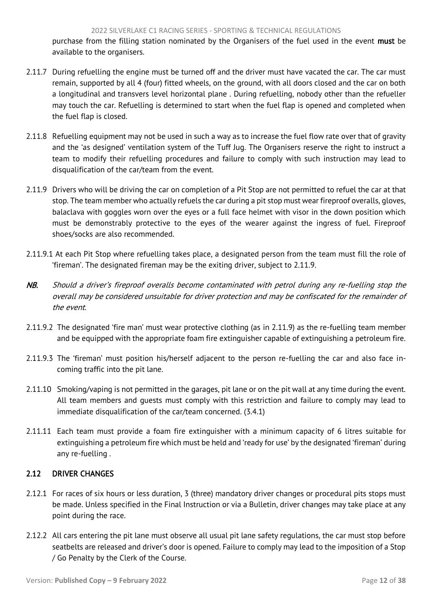<span id="page-12-1"></span>purchase from the filling station nominated by the Organisers of the fuel used in the event must be available to the organisers.

- 2.11.7 During refuelling the engine must be turned off and the driver must have vacated the car. The car must remain, supported by all 4 (four) fitted wheels, on the ground, with all doors closed and the car on both a longitudinal and transvers level horizontal plane . During refuelling, nobody other than the refueller may touch the car. Refuelling is determined to start when the fuel flap is opened and completed when the fuel flap is closed.
- 2.11.8 Refuelling equipment may not be used in such a way as to increase the fuel flow rate over that of gravity and the 'as designed' ventilation system of the Tuff Jug. The Organisers reserve the right to instruct a team to modify their refuelling procedures and failure to comply with such instruction may lead to disqualification of the car/team from the event.
- 2.11.9 Drivers who will be driving the car on completion of a Pit Stop are not permitted to refuel the car at that stop. The team member who actually refuels the car during a pit stop must wear fireproof overalls, gloves, balaclava with goggles worn over the eyes or a full face helmet with visor in the down position which must be demonstrably protective to the eyes of the wearer against the ingress of fuel. Fireproof shoes/socks are also recommended.
- 2.11.9.1 At each Pit Stop where refuelling takes place, a designated person from the team must fill the role of 'fireman'. The designated fireman may be the exiting driver, subject to 2.11.9.
- NB. Should a driver's fireproof overalls become contaminated with petrol during any re-fuelling stop the overall may be considered unsuitable for driver protection and may be confiscated for the remainder of the event.
- 2.11.9.2 The designated 'fire man' must wear protective clothing (as in 2.11.9) as the re-fuelling team member and be equipped with the appropriate foam fire extinguisher capable of extinguishing a petroleum fire.
- 2.11.9.3 The 'fireman' must position his/herself adjacent to the person re-fuelling the car and also face incoming traffic into the pit lane.
- 2.11.10 Smoking/vaping is not permitted in the garages, pit lane or on the pit wall at any time during the event. All team members and guests must comply with this restriction and failure to comply may lead to immediate disqualification of the car/team concerned. (3.4.1)
- 2.11.11 Each team must provide a foam fire extinguisher with a minimum capacity of 6 litres suitable for extinguishing a petroleum fire which must be held and 'ready for use' by the designated 'fireman' during any re-fuelling .

# <span id="page-12-0"></span>2.12 DRIVER CHANGES

- 2.12.1 For races of six hours or less duration, 3 (three) mandatory driver changes or procedural pits stops must be made. Unless specified in the Final Instruction or via a Bulletin, driver changes may take place at any point during the race.
- 2.12.2 All cars entering the pit lane must observe all usual pit lane safety regulations, the car must stop before seatbelts are released and driver's door is opened. Failure to comply may lead to the imposition of a Stop / Go Penalty by the Clerk of the Course.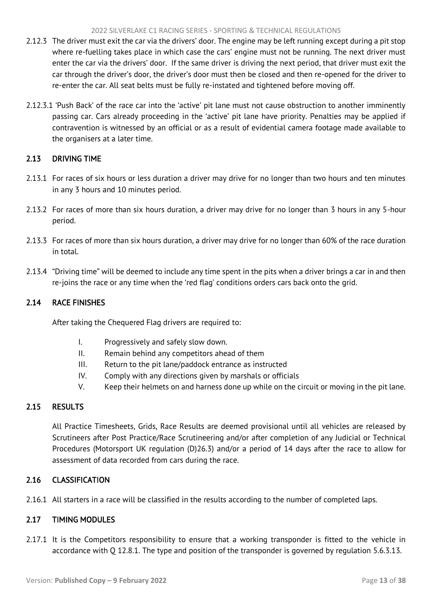- <span id="page-13-5"></span>2.12.3 The driver must exit the car via the drivers' door. The engine may be left running except during a pit stop where re-fuelling takes place in which case the cars' engine must not be running. The next driver must enter the car via the drivers' door. If the same driver is driving the next period, that driver must exit the car through the driver's door, the driver's door must then be closed and then re-opened for the driver to re-enter the car. All seat belts must be fully re-instated and tightened before moving off.
- 2.12.3.1 'Push Back' of the race car into the 'active' pit lane must not cause obstruction to another imminently passing car. Cars already proceeding in the 'active' pit lane have priority. Penalties may be applied if contravention is witnessed by an official or as a result of evidential camera footage made available to the organisers at a later time.

# <span id="page-13-0"></span>2.13 DRIVING TIME

- 2.13.1 For races of six hours or less duration a driver may drive for no longer than two hours and ten minutes in any 3 hours and 10 minutes period.
- 2.13.2 For races of more than six hours duration, a driver may drive for no longer than 3 hours in any 5-hour period.
- 2.13.3 For races of more than six hours duration, a driver may drive for no longer than 60% of the race duration in total.
- 2.13.4 "Driving time" will be deemed to include any time spent in the pits when a driver brings a car in and then re-joins the race or any time when the 'red flag' conditions orders cars back onto the grid.

# <span id="page-13-1"></span>2.14 RACE FINISHES

After taking the Chequered Flag drivers are required to:

- I. Progressively and safely slow down.
- II. Remain behind any competitors ahead of them
- III. Return to the pit lane/paddock entrance as instructed
- IV. Comply with any directions given by marshals or officials
- V. Keep their helmets on and harness done up while on the circuit or moving in the pit lane.

# <span id="page-13-2"></span>2.15 RESULTS

All Practice Timesheets, Grids, Race Results are deemed provisional until all vehicles are released by Scrutineers after Post Practice/Race Scrutineering and/or after completion of any Judicial or Technical Procedures (Motorsport UK regulation (D)26.3) and/or a period of 14 days after the race to allow for assessment of data recorded from cars during the race.

# <span id="page-13-3"></span>2.16 CLASSIFICATION

2.16.1 All starters in a race will be classified in the results according to the number of completed laps.

# <span id="page-13-4"></span>2.17 TIMING MODULES

2.17.1 It is the Competitors responsibility to ensure that a working transponder is fitted to the vehicle in accordance with Q 12.8.1. The type and position of the transponder is governed by regulation 5.6.3.13.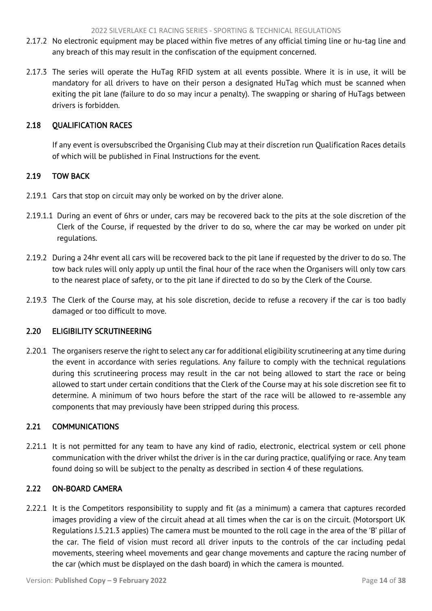- <span id="page-14-5"></span>2.17.2 No electronic equipment may be placed within five metres of any official timing line or hu-tag line and any breach of this may result in the confiscation of the equipment concerned.
- 2.17.3 The series will operate the HuTag RFID system at all events possible. Where it is in use, it will be mandatory for all drivers to have on their person a designated HuTag which must be scanned when exiting the pit lane (failure to do so may incur a penalty). The swapping or sharing of HuTags between drivers is forbidden.

# <span id="page-14-0"></span>2.18 QUALIFICATION RACES

If any event is oversubscribed the Organising Club may at their discretion run Qualification Races details of which will be published in Final Instructions for the event.

# <span id="page-14-1"></span>2.19 TOW BACK

- 2.19.1 Cars that stop on circuit may only be worked on by the driver alone.
- 2.19.1.1 During an event of 6hrs or under, cars may be recovered back to the pits at the sole discretion of the Clerk of the Course, if requested by the driver to do so, where the car may be worked on under pit regulations.
- 2.19.2 During a 24hr event all cars will be recovered back to the pit lane if requested by the driver to do so. The tow back rules will only apply up until the final hour of the race when the Organisers will only tow cars to the nearest place of safety, or to the pit lane if directed to do so by the Clerk of the Course.
- 2.19.3 The Clerk of the Course may, at his sole discretion, decide to refuse a recovery if the car is too badly damaged or too difficult to move.

# <span id="page-14-2"></span>2.20 ELIGIBILITY SCRUTINEERING

2.20.1 The organisers reserve the right to select any car for additional eligibility scrutineering at any time during the event in accordance with series regulations. Any failure to comply with the technical regulations during this scrutineering process may result in the car not being allowed to start the race or being allowed to start under certain conditions that the Clerk of the Course may at his sole discretion see fit to determine. A minimum of two hours before the start of the race will be allowed to re-assemble any components that may previously have been stripped during this process.

# <span id="page-14-3"></span>2.21 COMMUNICATIONS

2.21.1 It is not permitted for any team to have any kind of radio, electronic, electrical system or cell phone communication with the driver whilst the driver is in the car during practice, qualifying or race. Any team found doing so will be subject to the penalty as described in section 4 of these regulations.

## <span id="page-14-4"></span>2.22 ON-BOARD CAMERA

2.22.1 It is the Competitors responsibility to supply and fit (as a minimum) a camera that captures recorded images providing a view of the circuit ahead at all times when the car is on the circuit. (Motorsport UK Regulations J.5.21.3 applies) The camera must be mounted to the roll cage in the area of the 'B' pillar of the car. The field of vision must record all driver inputs to the controls of the car including pedal movements, steering wheel movements and gear change movements and capture the racing number of the car (which must be displayed on the dash board) in which the camera is mounted.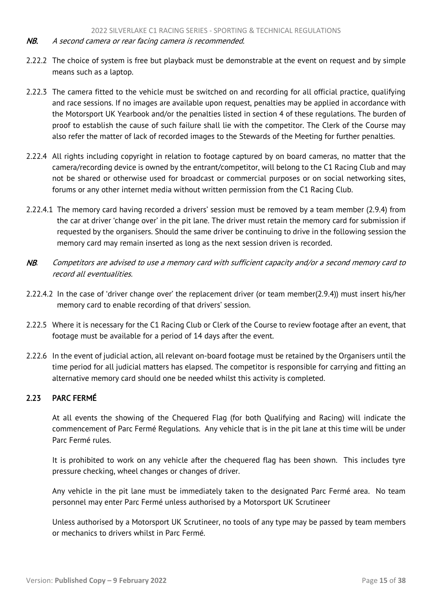- <span id="page-15-1"></span>NB. A second camera or rear facing camera is recommended.
- 2.22.2 The choice of system is free but playback must be demonstrable at the event on request and by simple means such as a laptop.
- 2.22.3 The camera fitted to the vehicle must be switched on and recording for all official practice, qualifying and race sessions. If no images are available upon request, penalties may be applied in accordance with the Motorsport UK Yearbook and/or the penalties listed in section 4 of these regulations. The burden of proof to establish the cause of such failure shall lie with the competitor. The Clerk of the Course may also refer the matter of lack of recorded images to the Stewards of the Meeting for further penalties.
- 2.22.4 All rights including copyright in relation to footage captured by on board cameras, no matter that the camera/recording device is owned by the entrant/competitor, will belong to the C1 Racing Club and may not be shared or otherwise used for broadcast or commercial purposes or on social networking sites, forums or any other internet media without written permission from the C1 Racing Club.
- 2.22.4.1 The memory card having recorded a drivers' session must be removed by a team member (2.9.4) from the car at driver 'change over' in the pit lane. The driver must retain the memory card for submission if requested by the organisers. Should the same driver be continuing to drive in the following session the memory card may remain inserted as long as the next session driven is recorded.
- NB. Competitors are advised to use a memory card with sufficient capacity and/or a second memory card to record all eventualities.
- 2.22.4.2 In the case of 'driver change over' the replacement driver (or team member(2.9.4)) must insert his/her memory card to enable recording of that drivers' session.
- 2.22.5 Where it is necessary for the C1 Racing Club or Clerk of the Course to review footage after an event, that footage must be available for a period of 14 days after the event.
- 2.22.6 In the event of judicial action, all relevant on-board footage must be retained by the Organisers until the time period for all judicial matters has elapsed. The competitor is responsible for carrying and fitting an alternative memory card should one be needed whilst this activity is completed.

## <span id="page-15-0"></span>2.23 PARC FERMÉ

At all events the showing of the Chequered Flag (for both Qualifying and Racing) will indicate the commencement of Parc Fermé Regulations. Any vehicle that is in the pit lane at this time will be under Parc Fermé rules.

It is prohibited to work on any vehicle after the chequered flag has been shown. This includes tyre pressure checking, wheel changes or changes of driver.

Any vehicle in the pit lane must be immediately taken to the designated Parc Fermé area. No team personnel may enter Parc Fermé unless authorised by a Motorsport UK Scrutineer

Unless authorised by a Motorsport UK Scrutineer, no tools of any type may be passed by team members or mechanics to drivers whilst in Parc Fermé.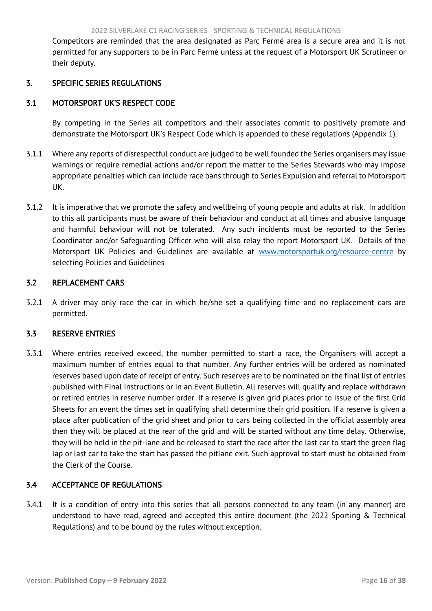<span id="page-16-5"></span><span id="page-16-0"></span>Competitors are reminded that the area designated as Parc Fermé area is a secure area and it is not permitted for any supporters to be in Parc Fermé unless at the request of a Motorsport UK Scrutineer or their deputy.

## 3. SPECIFIC SERIES REGULATIONS

## <span id="page-16-1"></span>3.1 MOTORSPORT UK'S RESPECT CODE

By competing in the Series all competitors and their associates commit to positively promote and demonstrate the Motorsport UK's Respect Code which is appended to these regulations (Appendix 1).

- 3.1.1 Where any reports of disrespectful conduct are judged to be well founded the Series organisers may issue warnings or require remedial actions and/or report the matter to the Series Stewards who may impose appropriate penalties which can include race bans through to Series Expulsion and referral to Motorsport UK.
- 3.1.2 It is imperative that we promote the safety and wellbeing of young people and adults at risk. In addition to this all participants must be aware of their behaviour and conduct at all times and abusive language and harmful behaviour will not be tolerated. Any such incidents must be reported to the Series Coordinator and/or Safeguarding Officer who will also relay the report Motorsport UK. Details of the Motorsport UK Policies and Guidelines are available at [www.motorsportuk.org/resource-centre](http://www.motorsportuk.org/resource-centre) by selecting Policies and Guidelines

## <span id="page-16-2"></span>3.2 REPLACEMENT CARS

3.2.1 A driver may only race the car in which he/she set a qualifying time and no replacement cars are permitted.

# <span id="page-16-3"></span>3.3 RESERVE ENTRIES

3.3.1 Where entries received exceed, the number permitted to start a race, the Organisers will accept a maximum number of entries equal to that number. Any further entries will be ordered as nominated reserves based upon date of receipt of entry. Such reserves are to be nominated on the final list of entries published with Final Instructions or in an Event Bulletin. All reserves will qualify and replace withdrawn or retired entries in reserve number order. If a reserve is given grid places prior to issue of the first Grid Sheets for an event the times set in qualifying shall determine their grid position. If a reserve is given a place after publication of the grid sheet and prior to cars being collected in the official assembly area then they will be placed at the rear of the grid and will be started without any time delay. Otherwise, they will be held in the pit-lane and be released to start the race after the last car to start the green flag lap or last car to take the start has passed the pitlane exit. Such approval to start must be obtained from the Clerk of the Course.

# <span id="page-16-4"></span>3.4 ACCEPTANCE OF REGULATIONS

3.4.1 It is a condition of entry into this series that all persons connected to any team (in any manner) are understood to have read, agreed and accepted this entire document (the 2022 Sporting & Technical Regulations) and to be bound by the rules without exception.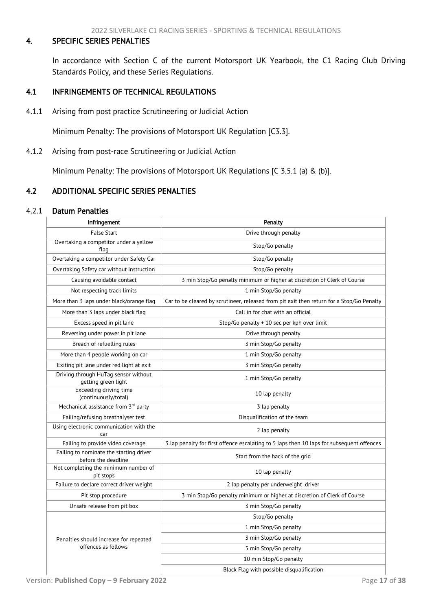## <span id="page-17-3"></span><span id="page-17-0"></span>4. SPECIFIC SERIES PENALTIES

In accordance with Section C of the current Motorsport UK Yearbook, the C1 Racing Club Driving Standards Policy, and these Series Regulations.

## <span id="page-17-1"></span>4.1 INFRINGEMENTS OF TECHNICAL REGULATIONS

4.1.1 Arising from post practice Scrutineering or Judicial Action

Minimum Penalty: The provisions of Motorsport UK Regulation [C3.3].

4.1.2 Arising from post-race Scrutineering or Judicial Action

Minimum Penalty: The provisions of Motorsport UK Regulations [C 3.5.1 (a) & (b)].

## <span id="page-17-2"></span>4.2 ADDITIONAL SPECIFIC SERIES PENALTIES

#### 4.2.1 Datum Penalties

| Infringement                                                   | Penalty                                                                                   |  |
|----------------------------------------------------------------|-------------------------------------------------------------------------------------------|--|
| <b>False Start</b>                                             | Drive through penalty                                                                     |  |
| Overtaking a competitor under a yellow<br>flag                 | Stop/Go penalty                                                                           |  |
| Overtaking a competitor under Safety Car                       | Stop/Go penalty                                                                           |  |
| Overtaking Safety car without instruction                      | Stop/Go penalty                                                                           |  |
| Causing avoidable contact                                      | 3 min Stop/Go penalty minimum or higher at discretion of Clerk of Course                  |  |
| Not respecting track limits                                    | 1 min Stop/Go penalty                                                                     |  |
| More than 3 laps under black/orange flag                       | Car to be cleared by scrutineer, released from pit exit then return for a Stop/Go Penalty |  |
| More than 3 laps under black flag                              | Call in for chat with an official                                                         |  |
| Excess speed in pit lane                                       | Stop/Go penalty + 10 sec per kph over limit                                               |  |
| Reversing under power in pit lane                              | Drive through penalty                                                                     |  |
| Breach of refuelling rules                                     | 3 min Stop/Go penalty                                                                     |  |
| More than 4 people working on car                              | 1 min Stop/Go penalty                                                                     |  |
| Exiting pit lane under red light at exit                       | 3 min Stop/Go penalty                                                                     |  |
| Driving through HuTag sensor without<br>getting green light    | 1 min Stop/Go penalty                                                                     |  |
| Exceeding driving time<br>(continuously/total)                 | 10 lap penalty                                                                            |  |
| Mechanical assistance from 3rd party                           | 3 lap penalty                                                                             |  |
| Failing/refusing breathalyser test                             | Disqualification of the team                                                              |  |
| Using electronic communication with the<br>car                 | 2 lap penalty                                                                             |  |
| Failing to provide video coverage                              | 3 lap penalty for first offence escalating to 5 laps then 10 laps for subsequent offences |  |
| Failing to nominate the starting driver<br>before the deadline | Start from the back of the grid                                                           |  |
| Not completing the minimum number of<br>pit stops              | 10 lap penalty                                                                            |  |
| Failure to declare correct driver weight                       | 2 lap penalty per underweight driver                                                      |  |
| Pit stop procedure                                             | 3 min Stop/Go penalty minimum or higher at discretion of Clerk of Course                  |  |
| Unsafe release from pit box                                    | 3 min Stop/Go penalty                                                                     |  |
|                                                                | Stop/Go penalty                                                                           |  |
|                                                                | 1 min Stop/Go penalty                                                                     |  |
| Penalties should increase for repeated                         | 3 min Stop/Go penalty                                                                     |  |
| offences as follows                                            | 5 min Stop/Go penalty                                                                     |  |
|                                                                | 10 min Stop/Go penalty                                                                    |  |
|                                                                | Black Flag with possible disqualification                                                 |  |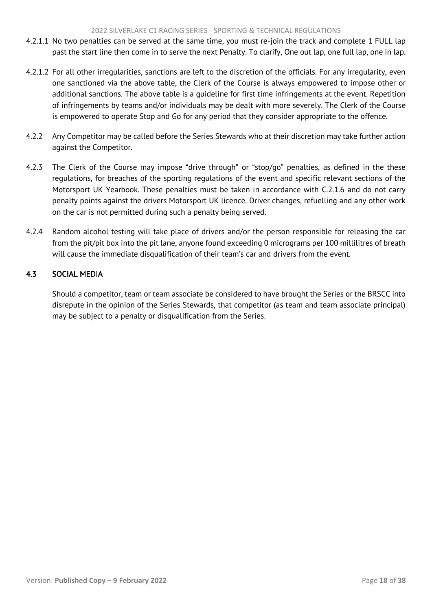- <span id="page-18-1"></span>4.2.1.1 No two penalties can be served at the same time, you must re-join the track and complete 1 FULL lap past the start line then come in to serve the next Penalty. To clarify, One out lap, one full lap, one in lap.
- 4.2.1.2 For all other irregularities, sanctions are left to the discretion of the officials. For any irregularity, even one sanctioned via the above table, the Clerk of the Course is always empowered to impose other or additional sanctions. The above table is a guideline for first time infringements at the event. Repetition of infringements by teams and/or individuals may be dealt with more severely. The Clerk of the Course is empowered to operate Stop and Go for any period that they consider appropriate to the offence.
- 4.2.2 Any Competitor may be called before the Series Stewards who at their discretion may take further action against the Competitor.
- 4.2.3 The Clerk of the Course may impose "drive through" or "stop/go" penalties, as defined in the these regulations, for breaches of the sporting regulations of the event and specific relevant sections of the Motorsport UK Yearbook. These penalties must be taken in accordance with C.2.1.6 and do not carry penalty points against the drivers Motorsport UK licence. Driver changes, refuelling and any other work on the car is not permitted during such a penalty being served.
- 4.2.4 Random alcohol testing will take place of drivers and/or the person responsible for releasing the car from the pit/pit box into the pit lane, anyone found exceeding 0 micrograms per 100 millilitres of breath will cause the immediate disqualification of their team's car and drivers from the event.

# <span id="page-18-0"></span>4.3 SOCIAL MEDIA

Should a competitor, team or team associate be considered to have brought the Series or the BRSCC into disrepute in the opinion of the Series Stewards, that competitor (as team and team associate principal) may be subject to a penalty or disqualification from the Series.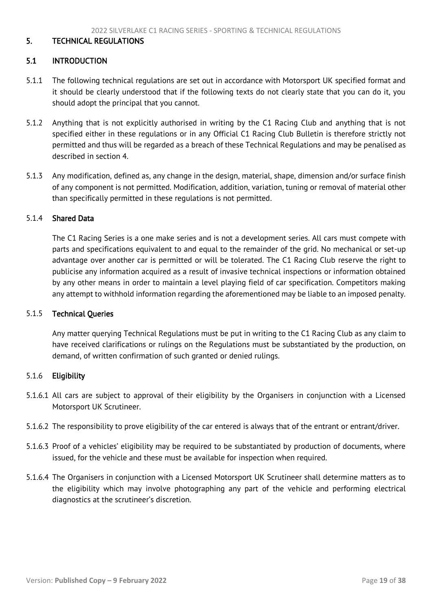#### <span id="page-19-2"></span><span id="page-19-0"></span>5. TECHNICAL REGULATIONS

#### <span id="page-19-1"></span>5.1 INTRODUCTION

- 5.1.1 The following technical regulations are set out in accordance with Motorsport UK specified format and it should be clearly understood that if the following texts do not clearly state that you can do it, you should adopt the principal that you cannot.
- 5.1.2 Anything that is not explicitly authorised in writing by the C1 Racing Club and anything that is not specified either in these regulations or in any Official C1 Racing Club Bulletin is therefore strictly not permitted and thus will be regarded as a breach of these Technical Regulations and may be penalised as described in section 4.
- 5.1.3 Any modification, defined as, any change in the design, material, shape, dimension and/or surface finish of any component is not permitted. Modification, addition, variation, tuning or removal of material other than specifically permitted in these regulations is not permitted.

#### 5.1.4 Shared Data

The C1 Racing Series is a one make series and is not a development series. All cars must compete with parts and specifications equivalent to and equal to the remainder of the grid. No mechanical or set-up advantage over another car is permitted or will be tolerated. The C1 Racing Club reserve the right to publicise any information acquired as a result of invasive technical inspections or information obtained by any other means in order to maintain a level playing field of car specification. Competitors making any attempt to withhold information regarding the aforementioned may be liable to an imposed penalty.

#### 5.1.5 Technical Queries

Any matter querying Technical Regulations must be put in writing to the C1 Racing Club as any claim to have received clarifications or rulings on the Regulations must be substantiated by the production, on demand, of written confirmation of such granted or denied rulings.

#### 5.1.6 Eligibility

- 5.1.6.1 All cars are subject to approval of their eligibility by the Organisers in conjunction with a Licensed Motorsport UK Scrutineer.
- 5.1.6.2 The responsibility to prove eligibility of the car entered is always that of the entrant or entrant/driver.
- 5.1.6.3 Proof of a vehicles' eligibility may be required to be substantiated by production of documents, where issued, for the vehicle and these must be available for inspection when required.
- 5.1.6.4 The Organisers in conjunction with a Licensed Motorsport UK Scrutineer shall determine matters as to the eligibility which may involve photographing any part of the vehicle and performing electrical diagnostics at the scrutineer's discretion.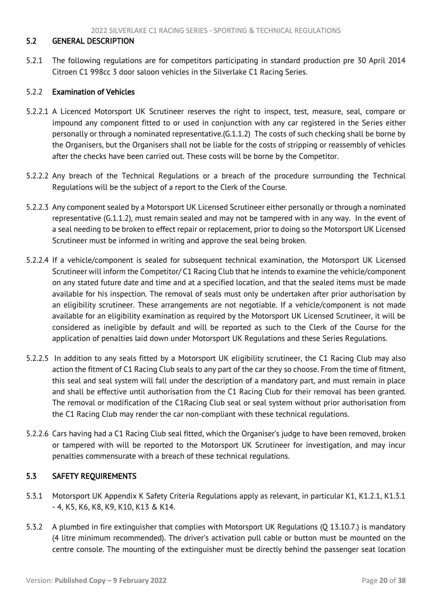## <span id="page-20-2"></span><span id="page-20-0"></span>5.2 GENERAL DESCRIPTION

5.2.1 The following regulations are for competitors participating in standard production pre 30 April 2014 Citroen C1 998cc 3 door saloon vehicles in the Silverlake C1 Racing Series.

#### 5.2.2 Examination of Vehicles

- 5.2.2.1 A Licenced Motorsport UK Scrutineer reserves the right to inspect, test, measure, seal, compare or impound any component fitted to or used in conjunction with any car registered in the Series either personally or through a nominated representative.(G.1.1.2) The costs of such checking shall be borne by the Organisers, but the Organisers shall not be liable for the costs of stripping or reassembly of vehicles after the checks have been carried out. These costs will be borne by the Competitor.
- 5.2.2.2 Any breach of the Technical Regulations or a breach of the procedure surrounding the Technical Regulations will be the subject of a report to the Clerk of the Course.
- 5.2.2.3 Any component sealed by a Motorsport UK Licensed Scrutineer either personally or through a nominated representative (G.1.1.2), must remain sealed and may not be tampered with in any way. In the event of a seal needing to be broken to effect repair or replacement, prior to doing so the Motorsport UK Licensed Scrutineer must be informed in writing and approve the seal being broken.
- 5.2.2.4 If a vehicle/component is sealed for subsequent technical examination, the Motorsport UK Licensed Scrutineer will inform the Competitor/ C1 Racing Club that he intends to examine the vehicle/component on any stated future date and time and at a specified location, and that the sealed items must be made available for his inspection. The removal of seals must only be undertaken after prior authorisation by an eligibility scrutineer. These arrangements are not negotiable. If a vehicle/component is not made available for an eligibility examination as required by the Motorsport UK Licensed Scrutineer, it will be considered as ineligible by default and will be reported as such to the Clerk of the Course for the application of penalties laid down under Motorsport UK Regulations and these Series Regulations.
- 5.2.2.5 In addition to any seals fitted by a Motorsport UK eligibility scrutineer, the C1 Racing Club may also action the fitment of C1 Racing Club seals to any part of the car they so choose. From the time of fitment, this seal and seal system will fall under the description of a mandatory part, and must remain in place and shall be effective until authorisation from the C1 Racing Club for their removal has been granted. The removal or modification of the C1Racing Club seal or seal system without prior authorisation from the C1 Racing Club may render the car non-compliant with these technical regulations.
- 5.2.2.6 Cars having had a C1 Racing Club seal fitted, which the Organiser's judge to have been removed, broken or tampered with will be reported to the Motorsport UK Scrutineer for investigation, and may incur penalties commensurate with a breach of these technical regulations.

## <span id="page-20-1"></span>5.3 SAFETY REQUIREMENTS

- 5.3.1 Motorsport UK Appendix K Safety Criteria Regulations apply as relevant, in particular K1, K1.2.1, K1.3.1 - 4, K5, K6, K8, K9, K10, K13 & K14.
- 5.3.2 A plumbed in fire extinguisher that complies with Motorsport UK Regulations (Q 13.10.7.) is mandatory (4 litre minimum recommended). The driver's activation pull cable or button must be mounted on the centre console. The mounting of the extinguisher must be directly behind the passenger seat location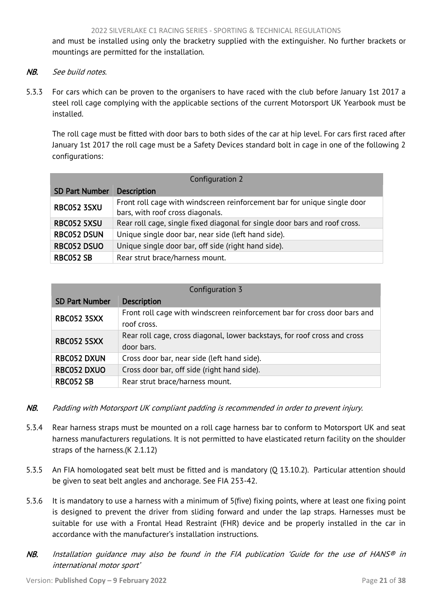and must be installed using only the bracketry supplied with the extinguisher. No further brackets or mountings are permitted for the installation.

- NB. See build notes.
- 5.3.3 For cars which can be proven to the organisers to have raced with the club before January 1st 2017 a steel roll cage complying with the applicable sections of the current Motorsport UK Yearbook must be installed.

The roll cage must be fitted with door bars to both sides of the car at hip level. For cars first raced after January 1st 2017 the roll cage must be a Safety Devices standard bolt in cage in one of the following 2 configurations:

| Configuration 2                                                           |                                                                            |  |  |
|---------------------------------------------------------------------------|----------------------------------------------------------------------------|--|--|
| <b>SD Part Number</b>                                                     | <b>Description</b>                                                         |  |  |
| <b>RBC052 3SXU</b>                                                        | Front roll cage with windscreen reinforcement bar for unique single door   |  |  |
|                                                                           | bars, with roof cross diagonals.                                           |  |  |
| RBC052 5XSU                                                               | Rear roll cage, single fixed diagonal for single door bars and roof cross. |  |  |
| <b>RBC052 DSUN</b><br>Unique single door bar, near side (left hand side). |                                                                            |  |  |
| <b>RBC052 DSUO</b><br>Unique single door bar, off side (right hand side). |                                                                            |  |  |
| <b>RBC052 SB</b>                                                          | Rear strut brace/harness mount.                                            |  |  |

| Configuration 3                                                   |                                                                                          |  |
|-------------------------------------------------------------------|------------------------------------------------------------------------------------------|--|
| <b>SD Part Number</b>                                             | <b>Description</b>                                                                       |  |
| <b>RBC052 3SXX</b>                                                | Front roll cage with windscreen reinforcement bar for cross door bars and<br>roof cross. |  |
| <b>RBC052 5SXX</b>                                                | Rear roll cage, cross diagonal, lower backstays, for roof cross and cross<br>door bars.  |  |
| Cross door bar, near side (left hand side).<br><b>RBC052 DXUN</b> |                                                                                          |  |
| <b>RBC052 DXUO</b>                                                | Cross door bar, off side (right hand side).                                              |  |
| <b>RBC052 SB</b>                                                  | Rear strut brace/harness mount.                                                          |  |

- NB. Padding with Motorsport UK compliant padding is recommended in order to prevent injury.
- 5.3.4 Rear harness straps must be mounted on a roll cage harness bar to conform to Motorsport UK and seat harness manufacturers regulations. It is not permitted to have elasticated return facility on the shoulder straps of the harness.(K 2.1.12)
- 5.3.5 An FIA homologated seat belt must be fitted and is mandatory (Q 13.10.2). Particular attention should be given to seat belt angles and anchorage. See FIA 253-42.
- 5.3.6 It is mandatory to use a harness with a minimum of 5(five) fixing points, where at least one fixing point is designed to prevent the driver from sliding forward and under the lap straps. Harnesses must be suitable for use with a Frontal Head Restraint (FHR) device and be properly installed in the car in accordance with the manufacturer's installation instructions.
- NB. Installation quidance may also be found in the FIA publication 'Guide for the use of HANS<sup>®</sup> in international motor sport'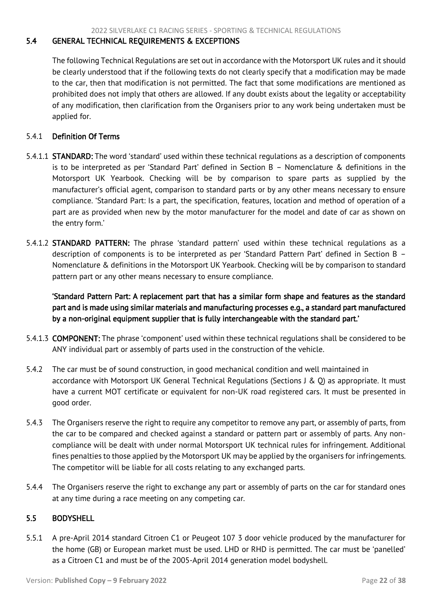## <span id="page-22-2"></span><span id="page-22-0"></span>5.4 GENERAL TECHNICAL REQUIREMENTS & EXCEPTIONS

The following Technical Regulations are set out in accordance with the Motorsport UK rules and it should be clearly understood that if the following texts do not clearly specify that a modification may be made to the car, then that modification is not permitted. The fact that some modifications are mentioned as prohibited does not imply that others are allowed. If any doubt exists about the legality or acceptability of any modification, then clarification from the Organisers prior to any work being undertaken must be applied for.

## 5.4.1 Definition Of Terms

- 5.4.1.1 STANDARD: The word 'standard' used within these technical regulations as a description of components is to be interpreted as per 'Standard Part' defined in Section B – Nomenclature & definitions in the Motorsport UK Yearbook. Checking will be by comparison to spare parts as supplied by the manufacturer's official agent, comparison to standard parts or by any other means necessary to ensure compliance. 'Standard Part: Is a part, the specification, features, location and method of operation of a part are as provided when new by the motor manufacturer for the model and date of car as shown on the entry form.'
- 5.4.1.2 STANDARD PATTERN: The phrase 'standard pattern' used within these technical regulations as a description of components is to be interpreted as per 'Standard Pattern Part' defined in Section B – Nomenclature & definitions in the Motorsport UK Yearbook. Checking will be by comparison to standard pattern part or any other means necessary to ensure compliance.

'Standard Pattern Part: A replacement part that has a similar form shape and features as the standard part and is made using similar materials and manufacturing processes e.g., a standard part manufactured by a non-original equipment supplier that is fully interchangeable with the standard part.'

- 5.4.1.3 COMPONENT: The phrase 'component' used within these technical regulations shall be considered to be ANY individual part or assembly of parts used in the construction of the vehicle.
- 5.4.2 The car must be of sound construction, in good mechanical condition and well maintained in accordance with Motorsport UK General Technical Regulations (Sections J & Q) as appropriate. It must have a current MOT certificate or equivalent for non-UK road registered cars. It must be presented in good order.
- 5.4.3 The Organisers reserve the right to require any competitor to remove any part, or assembly of parts, from the car to be compared and checked against a standard or pattern part or assembly of parts. Any noncompliance will be dealt with under normal Motorsport UK technical rules for infringement. Additional fines penalties to those applied by the Motorsport UK may be applied by the organisers for infringements. The competitor will be liable for all costs relating to any exchanged parts.
- 5.4.4 The Organisers reserve the right to exchange any part or assembly of parts on the car for standard ones at any time during a race meeting on any competing car.

#### <span id="page-22-1"></span>5.5 BODYSHELL

5.5.1 A pre-April 2014 standard Citroen C1 or Peugeot 107 3 door vehicle produced by the manufacturer for the home (GB) or European market must be used. LHD or RHD is permitted. The car must be 'panelled' as a Citroen C1 and must be of the 2005-April 2014 generation model bodyshell.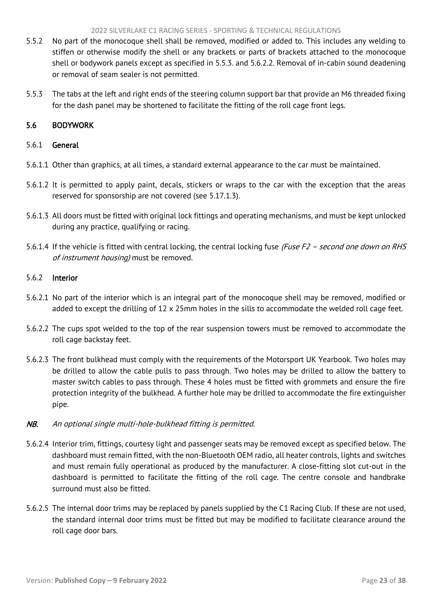- <span id="page-23-1"></span>5.5.2 No part of the monocoque shell shall be removed, modified or added to. This includes any welding to stiffen or otherwise modify the shell or any brackets or parts of brackets attached to the monocoque shell or bodywork panels except as specified in 5.5.3. and 5.6.2.2. Removal of in-cabin sound deadening or removal of seam sealer is not permitted.
- 5.5.3 The tabs at the left and right ends of the steering column support bar that provide an M6 threaded fixing for the dash panel may be shortened to facilitate the fitting of the roll cage front legs.

# <span id="page-23-0"></span>5.6 BODYWORK

## 5.6.1 General

- 5.6.1.1 Other than graphics, at all times, a standard external appearance to the car must be maintained.
- 5.6.1.2 It is permitted to apply paint, decals, stickers or wraps to the car with the exception that the areas reserved for sponsorship are not covered (see 5.17.1.3).
- 5.6.1.3 All doors must be fitted with original lock fittings and operating mechanisms, and must be kept unlocked during any practice, qualifying or racing.
- 5.6.1.4 If the vehicle is fitted with central locking, the central locking fuse (Fuse F2 second one down on RHS of instrument housing) must be removed.

#### 5.6.2 Interior

- 5.6.2.1 No part of the interior which is an integral part of the monocoque shell may be removed, modified or added to except the drilling of 12 x 25mm holes in the sills to accommodate the welded roll cage feet.
- 5.6.2.2 The cups spot welded to the top of the rear suspension towers must be removed to accommodate the roll cage backstay feet.
- 5.6.2.3 The front bulkhead must comply with the requirements of the Motorsport UK Yearbook. Two holes may be drilled to allow the cable pulls to pass through. Two holes may be drilled to allow the battery to master switch cables to pass through. These 4 holes must be fitted with grommets and ensure the fire protection integrity of the bulkhead. A further hole may be drilled to accommodate the fire extinguisher pipe.

# NB. An optional single multi-hole-bulkhead fitting is permitted.

- 5.6.2.4 Interior trim, fittings, courtesy light and passenger seats may be removed except as specified below. The dashboard must remain fitted, with the non-Bluetooth OEM radio, all heater controls, lights and switches and must remain fully operational as produced by the manufacturer. A close-fitting slot cut-out in the dashboard is permitted to facilitate the fitting of the roll cage. The centre console and handbrake surround must also be fitted.
- 5.6.2.5 The internal door trims may be replaced by panels supplied by the C1 Racing Club. If these are not used, the standard internal door trims must be fitted but may be modified to facilitate clearance around the roll cage door bars.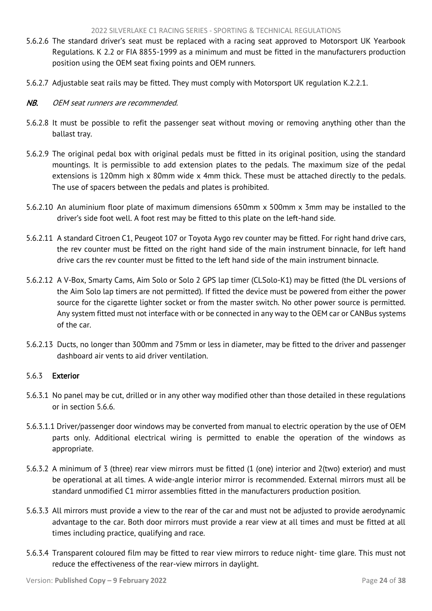- 5.6.2.6 The standard driver's seat must be replaced with a racing seat approved to Motorsport UK Yearbook Regulations. K 2.2 or FIA 8855-1999 as a minimum and must be fitted in the manufacturers production position using the OEM seat fixing points and OEM runners.
- 5.6.2.7 Adjustable seat rails may be fitted. They must comply with Motorsport UK regulation K.2.2.1.
- NB. OEM seat runners are recommended.
- 5.6.2.8 It must be possible to refit the passenger seat without moving or removing anything other than the ballast tray.
- 5.6.2.9 The original pedal box with original pedals must be fitted in its original position, using the standard mountings. It is permissible to add extension plates to the pedals. The maximum size of the pedal extensions is 120mm high x 80mm wide x 4mm thick. These must be attached directly to the pedals. The use of spacers between the pedals and plates is prohibited.
- 5.6.2.10 An aluminium floor plate of maximum dimensions 650mm x 500mm x 3mm may be installed to the driver's side foot well. A foot rest may be fitted to this plate on the left-hand side.
- 5.6.2.11 A standard Citroen C1, Peugeot 107 or Toyota Aygo rev counter may be fitted. For right hand drive cars, the rev counter must be fitted on the right hand side of the main instrument binnacle, for left hand drive cars the rev counter must be fitted to the left hand side of the main instrument binnacle.
- 5.6.2.12 A V-Box, Smarty Cams, Aim Solo or Solo 2 GPS lap timer (CLSolo-K1) may be fitted (the DL versions of the Aim Solo lap timers are not permitted). If fitted the device must be powered from either the power source for the cigarette lighter socket or from the master switch. No other power source is permitted. Any system fitted must not interface with or be connected in any way to the OEM car or CANBus systems of the car.
- 5.6.2.13 Ducts, no longer than 300mm and 75mm or less in diameter, may be fitted to the driver and passenger dashboard air vents to aid driver ventilation.

# 5.6.3 Exterior

- 5.6.3.1 No panel may be cut, drilled or in any other way modified other than those detailed in these regulations or in section 5.6.6.
- 5.6.3.1.1 Driver/passenger door windows may be converted from manual to electric operation by the use of OEM parts only. Additional electrical wiring is permitted to enable the operation of the windows as appropriate.
- 5.6.3.2 A minimum of 3 (three) rear view mirrors must be fitted (1 (one) interior and 2(two) exterior) and must be operational at all times. A wide-angle interior mirror is recommended. External mirrors must all be standard unmodified C1 mirror assemblies fitted in the manufacturers production position.
- 5.6.3.3 All mirrors must provide a view to the rear of the car and must not be adjusted to provide aerodynamic advantage to the car. Both door mirrors must provide a rear view at all times and must be fitted at all times including practice, qualifying and race.
- 5.6.3.4 Transparent coloured film may be fitted to rear view mirrors to reduce night- time glare. This must not reduce the effectiveness of the rear-view mirrors in daylight.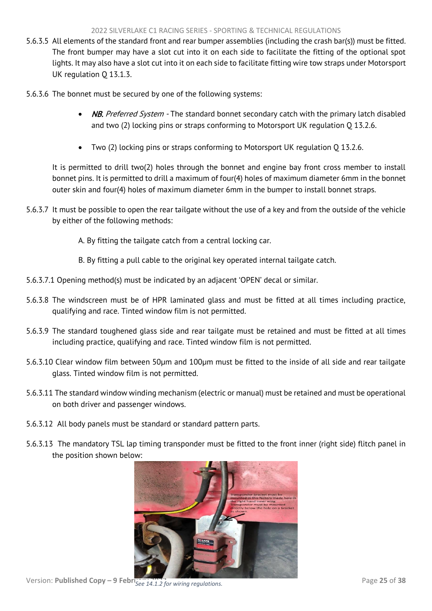- 5.6.3.5 All elements of the standard front and rear bumper assemblies (including the crash bar(s)) must be fitted. The front bumper may have a slot cut into it on each side to facilitate the fitting of the optional spot lights. It may also have a slot cut into it on each side to facilitate fitting wire tow straps under Motorsport UK regulation Q 13.1.3.
- 5.6.3.6 The bonnet must be secured by one of the following systems:
	- NB. Preferred System The standard bonnet secondary catch with the primary latch disabled and two (2) locking pins or straps conforming to Motorsport UK regulation Q 13.2.6.
	- Two (2) locking pins or straps conforming to Motorsport UK regulation Q 13.2.6.

It is permitted to drill two(2) holes through the bonnet and engine bay front cross member to install bonnet pins. It is permitted to drill a maximum of four(4) holes of maximum diameter 6mm in the bonnet outer skin and four(4) holes of maximum diameter 6mm in the bumper to install bonnet straps.

- 5.6.3.7 It must be possible to open the rear tailgate without the use of a key and from the outside of the vehicle by either of the following methods:
	- A. By fitting the tailgate catch from a central locking car.
	- B. By fitting a pull cable to the original key operated internal tailgate catch.
- 5.6.3.7.1 Opening method(s) must be indicated by an adjacent 'OPEN' decal or similar.
- 5.6.3.8 The windscreen must be of HPR laminated glass and must be fitted at all times including practice, qualifying and race. Tinted window film is not permitted.
- 5.6.3.9 The standard toughened glass side and rear tailgate must be retained and must be fitted at all times including practice, qualifying and race. Tinted window film is not permitted.
- 5.6.3.10 Clear window film between 50μm and 100μm must be fitted to the inside of all side and rear tailgate glass. Tinted window film is not permitted.
- 5.6.3.11 The standard window winding mechanism (electric or manual) must be retained and must be operational on both driver and passenger windows.
- 5.6.3.12 All body panels must be standard or standard pattern parts.
- 5.6.3.13 The mandatory TSL lap timing transponder must be fitted to the front inner (right side) flitch panel in the position shown below:



Version: **Published Copy – 9 Febri**<sub>See</sub> 14.1.2 for wiring regulations. Page 25 of 38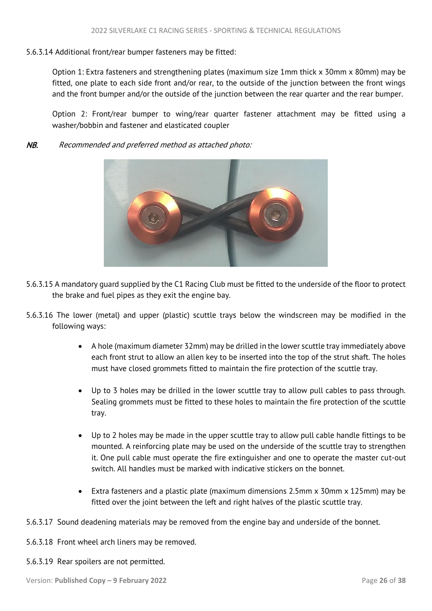## 5.6.3.14 Additional front/rear bumper fasteners may be fitted:

Option 1: Extra fasteners and strengthening plates (maximum size 1mm thick x 30mm x 80mm) may be fitted, one plate to each side front and/or rear, to the outside of the junction between the front wings and the front bumper and/or the outside of the junction between the rear quarter and the rear bumper.

Option 2: Front/rear bumper to wing/rear quarter fastener attachment may be fitted using a washer/bobbin and fastener and elasticated coupler

NB. Recommended and preferred method as attached photo:



- 5.6.3.15 A mandatory guard supplied by the C1 Racing Club must be fitted to the underside of the floor to protect the brake and fuel pipes as they exit the engine bay.
- 5.6.3.16 The lower (metal) and upper (plastic) scuttle trays below the windscreen may be modified in the following ways:
	- A hole (maximum diameter 32mm) may be drilled in the lower scuttle tray immediately above each front strut to allow an allen key to be inserted into the top of the strut shaft. The holes must have closed grommets fitted to maintain the fire protection of the scuttle tray.
	- Up to 3 holes may be drilled in the lower scuttle tray to allow pull cables to pass through. Sealing grommets must be fitted to these holes to maintain the fire protection of the scuttle tray.
	- Up to 2 holes may be made in the upper scuttle tray to allow pull cable handle fittings to be mounted. A reinforcing plate may be used on the underside of the scuttle tray to strengthen it. One pull cable must operate the fire extinguisher and one to operate the master cut-out switch. All handles must be marked with indicative stickers on the bonnet.
	- Extra fasteners and a plastic plate (maximum dimensions 2.5mm x 30mm x 125mm) may be fitted over the joint between the left and right halves of the plastic scuttle tray.
- 5.6.3.17 Sound deadening materials may be removed from the engine bay and underside of the bonnet.
- 5.6.3.18 Front wheel arch liners may be removed.
- 5.6.3.19 Rear spoilers are not permitted.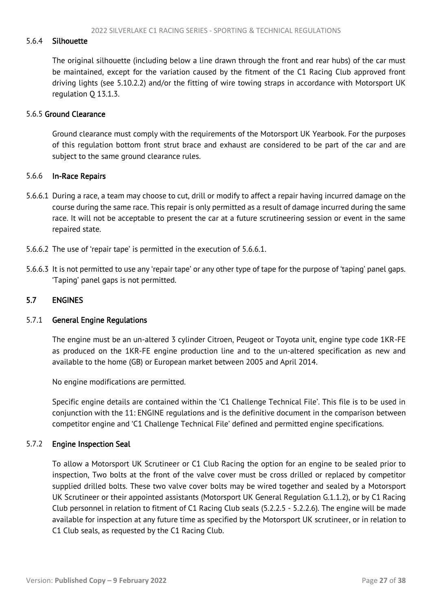#### <span id="page-27-1"></span>5.6.4 Silhouette

The original silhouette (including below a line drawn through the front and rear hubs) of the car must be maintained, except for the variation caused by the fitment of the C1 Racing Club approved front driving lights (see 5.10.2.2) and/or the fitting of wire towing straps in accordance with Motorsport UK regulation Q 13.1.3.

#### 5.6.5 Ground Clearance

Ground clearance must comply with the requirements of the Motorsport UK Yearbook. For the purposes of this regulation bottom front strut brace and exhaust are considered to be part of the car and are subject to the same ground clearance rules.

#### 5.6.6 In-Race Repairs

- 5.6.6.1 During a race, a team may choose to cut, drill or modify to affect a repair having incurred damage on the course during the same race. This repair is only permitted as a result of damage incurred during the same race. It will not be acceptable to present the car at a future scrutineering session or event in the same repaired state.
- 5.6.6.2 The use of 'repair tape' is permitted in the execution of 5.6.6.1.
- 5.6.6.3 It is not permitted to use any 'repair tape' or any other type of tape for the purpose of 'taping' panel gaps. 'Taping' panel gaps is not permitted.

#### <span id="page-27-0"></span>5.7 ENGINES

#### 5.7.1 General Engine Regulations

The engine must be an un-altered 3 cylinder Citroen, Peugeot or Toyota unit, engine type code 1KR-FE as produced on the 1KR-FE engine production line and to the un-altered specification as new and available to the home (GB) or European market between 2005 and April 2014.

No engine modifications are permitted.

Specific engine details are contained within the 'C1 Challenge Technical File'. This file is to be used in conjunction with the 11: ENGINE regulations and is the definitive document in the comparison between competitor engine and 'C1 Challenge Technical File' defined and permitted engine specifications.

#### 5.7.2 Engine Inspection Seal

To allow a Motorsport UK Scrutineer or C1 Club Racing the option for an engine to be sealed prior to inspection, Two bolts at the front of the valve cover must be cross drilled or replaced by competitor supplied drilled bolts. These two valve cover bolts may be wired together and sealed by a Motorsport UK Scrutineer or their appointed assistants (Motorsport UK General Regulation G.1.1.2), or by C1 Racing Club personnel in relation to fitment of C1 Racing Club seals (5.2.2.5 - 5.2.2.6). The engine will be made available for inspection at any future time as specified by the Motorsport UK scrutineer, or in relation to C1 Club seals, as requested by the C1 Racing Club.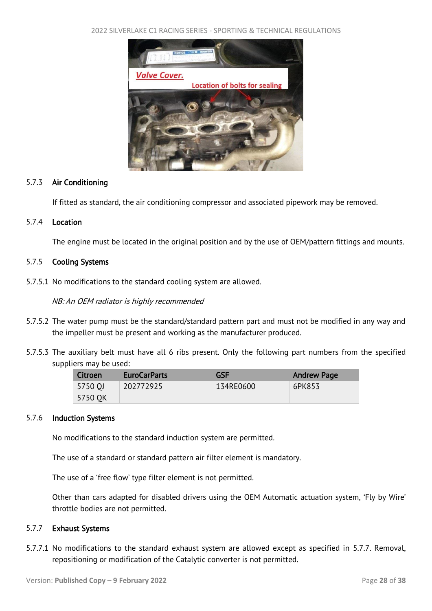2022 SILVERLAKE C1 RACING SERIES - SPORTING & TECHNICAL REGULATIONS



#### 5.7.3 Air Conditioning

If fitted as standard, the air conditioning compressor and associated pipework may be removed.

## 5.7.4 Location

The engine must be located in the original position and by the use of OEM/pattern fittings and mounts.

## 5.7.5 Cooling Systems

5.7.5.1 No modifications to the standard cooling system are allowed.

NB: An OEM radiator is highly recommended

- 5.7.5.2 The water pump must be the standard/standard pattern part and must not be modified in any way and the impeller must be present and working as the manufacturer produced.
- 5.7.5.3 The auxiliary belt must have all 6 ribs present. Only the following part numbers from the specified suppliers may be used:

| Citroen | <b>EuroCarParts</b> | <b>GSF</b> | <b>Andrew Page</b> |
|---------|---------------------|------------|--------------------|
| 5750 OJ | 202772925           | 134RE0600  | 6PK853             |
| 5750 OK |                     |            |                    |

#### 5.7.6 Induction Systems

No modifications to the standard induction system are permitted.

The use of a standard or standard pattern air filter element is mandatory.

The use of a 'free flow' type filter element is not permitted.

Other than cars adapted for disabled drivers using the OEM Automatic actuation system, 'Fly by Wire' throttle bodies are not permitted.

#### 5.7.7 Exhaust Systems

5.7.7.1 No modifications to the standard exhaust system are allowed except as specified in 5.7.7. Removal, repositioning or modification of the Catalytic converter is not permitted.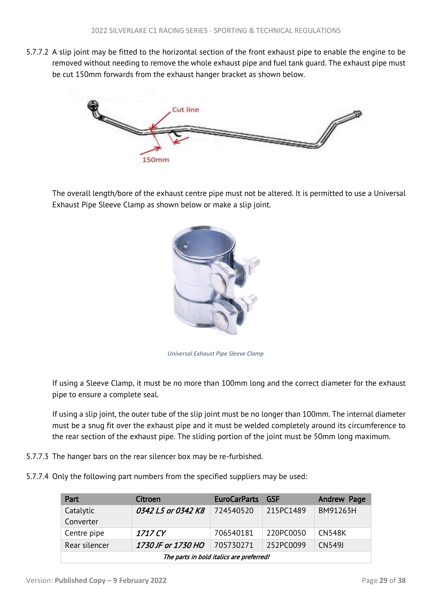5.7.7.2 A slip joint may be fitted to the horizontal section of the front exhaust pipe to enable the engine to be removed without needing to remove the whole exhaust pipe and fuel tank guard. The exhaust pipe must be cut 150mm forwards from the exhaust hanger bracket as shown below.



The overall length/bore of the exhaust centre pipe must not be altered. It is permitted to use a Universal Exhaust Pipe Sleeve Clamp as shown below or make a slip joint.



*Universal Exhaust Pipe Sleeve Clamp*

If using a Sleeve Clamp, it must be no more than 100mm long and the correct diameter for the exhaust pipe to ensure a complete seal.

If using a slip joint, the outer tube of the slip joint must be no longer than 100mm. The internal diameter must be a snug fit over the exhaust pipe and it must be welded completely around its circumference to the rear section of the exhaust pipe. The sliding portion of the joint must be 50mm long maximum.

- 5.7.7.3 The hanger bars on the rear silencer box may be re-furbished.
- 5.7.7.4 Only the following part numbers from the specified suppliers may be used:

| Part                                     | Citroen            | <b>EuroCarParts</b> | <b>GSF</b> | Andrew Page   |
|------------------------------------------|--------------------|---------------------|------------|---------------|
| Catalytic                                | 0342 L5 or 0342 K8 | 724540520           | 215PC1489  | BM91263H      |
| Converter                                |                    |                     |            |               |
| Centre pipe                              | 1717 CY            | 706540181           | 220PC0050  | <b>CN548K</b> |
| Rear silencer                            | 1730 JF or 1730 HO | 705730271           | 252PC0099  | CN549J        |
| The parts in bold italics are preferred! |                    |                     |            |               |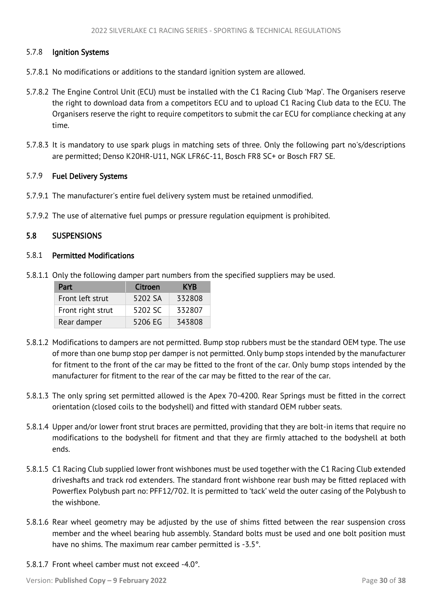## <span id="page-30-1"></span>5.7.8 Ignition Systems

- 5.7.8.1 No modifications or additions to the standard ignition system are allowed.
- 5.7.8.2 The Engine Control Unit (ECU) must be installed with the C1 Racing Club 'Map'. The Organisers reserve the right to download data from a competitors ECU and to upload C1 Racing Club data to the ECU. The Organisers reserve the right to require competitors to submit the car ECU for compliance checking at any time.
- 5.7.8.3 It is mandatory to use spark plugs in matching sets of three. Only the following part no's/descriptions are permitted; Denso K20HR-U11, NGK LFR6C-11, Bosch FR8 SC+ or Bosch FR7 SE.

#### 5.7.9 Fuel Delivery Systems

- 5.7.9.1 The manufacturer's entire fuel delivery system must be retained unmodified.
- 5.7.9.2 The use of alternative fuel pumps or pressure regulation equipment is prohibited.

#### <span id="page-30-0"></span>5.8 SUSPENSIONS

## 5.8.1 Permitted Modifications

5.8.1.1 Only the following damper part numbers from the specified suppliers may be used.

| Part              | Citroen | <b>KYR</b> |
|-------------------|---------|------------|
| Front left strut  | 5202 SA | 332808     |
| Front right strut | 5202 SC | 332807     |
| Rear damper       | 5206 EG | 343808     |

- 5.8.1.2 Modifications to dampers are not permitted. Bump stop rubbers must be the standard OEM type. The use of more than one bump stop per damper is not permitted. Only bump stops intended by the manufacturer for fitment to the front of the car may be fitted to the front of the car. Only bump stops intended by the manufacturer for fitment to the rear of the car may be fitted to the rear of the car.
- 5.8.1.3 The only spring set permitted allowed is the Apex 70-4200. Rear Springs must be fitted in the correct orientation (closed coils to the bodyshell) and fitted with standard OEM rubber seats.
- 5.8.1.4 Upper and/or lower front strut braces are permitted, providing that they are bolt-in items that require no modifications to the bodyshell for fitment and that they are firmly attached to the bodyshell at both ends.
- 5.8.1.5 C1 Racing Club supplied lower front wishbones must be used together with the C1 Racing Club extended driveshafts and track rod extenders. The standard front wishbone rear bush may be fitted replaced with Powerflex Polybush part no: PFF12/702. It is permitted to 'tack' weld the outer casing of the Polybush to the wishbone.
- 5.8.1.6 Rear wheel geometry may be adjusted by the use of shims fitted between the rear suspension cross member and the wheel bearing hub assembly. Standard bolts must be used and one bolt position must have no shims. The maximum rear camber permitted is -3.5°.
- 5.8.1.7 Front wheel camber must not exceed -4.0°.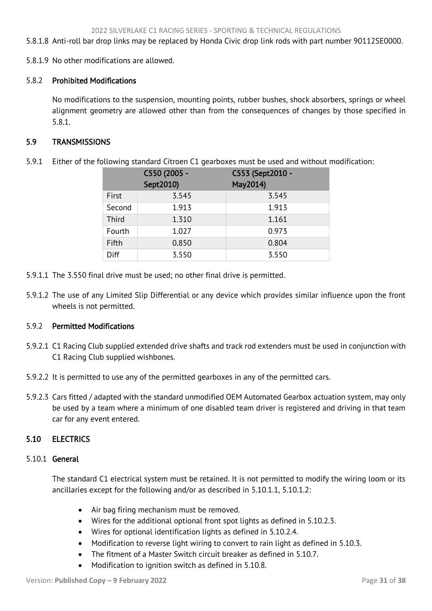<span id="page-31-2"></span>5.8.1.8 Anti-roll bar drop links may be replaced by Honda Civic drop link rods with part number 90112SE0000.

5.8.1.9 No other modifications are allowed.

## 5.8.2 Prohibited Modifications

No modifications to the suspension, mounting points, rubber bushes, shock absorbers, springs or wheel alignment geometry are allowed other than from the consequences of changes by those specified in 5.8.1.

## <span id="page-31-0"></span>5.9 TRANSMISSIONS

5.9.1 Either of the following standard Citroen C1 gearboxes must be used and without modification:

|             | C550 (2005 -<br>Sept2010) | C553 (Sept2010 -<br>May2014) |
|-------------|---------------------------|------------------------------|
| First       | 3.545                     | 3.545                        |
| Second      | 1.913                     | 1.913                        |
| Third       | 1.310                     | 1.161                        |
| Fourth      | 1.027                     | 0.973                        |
| Fifth       | 0.850                     | 0.804                        |
| <b>Diff</b> | 3.550                     | 3.550                        |

- 5.9.1.1 The 3.550 final drive must be used; no other final drive is permitted.
- 5.9.1.2 The use of any Limited Slip Differential or any device which provides similar influence upon the front wheels is not permitted.

#### 5.9.2 Permitted Modifications

- 5.9.2.1 C1 Racing Club supplied extended drive shafts and track rod extenders must be used in conjunction with C1 Racing Club supplied wishbones.
- 5.9.2.2 It is permitted to use any of the permitted gearboxes in any of the permitted cars.
- 5.9.2.3 Cars fitted / adapted with the standard unmodified OEM Automated Gearbox actuation system, may only be used by a team where a minimum of one disabled team driver is registered and driving in that team car for any event entered.

# <span id="page-31-1"></span>5.10 ELECTRICS

#### 5.10.1 General

The standard C1 electrical system must be retained. It is not permitted to modify the wiring loom or its ancillaries except for the following and/or as described in 5.10.1.1, 5.10.1.2:

- Air bag firing mechanism must be removed.
- Wires for the additional optional front spot lights as defined in 5.10.2.3.
- Wires for optional identification lights as defined in 5.10.2.4.
- Modification to reverse light wiring to convert to rain light as defined in 5.10.3.
- The fitment of a Master Switch circuit breaker as defined in 5.10.7.
- Modification to ignition switch as defined in 5.10.8.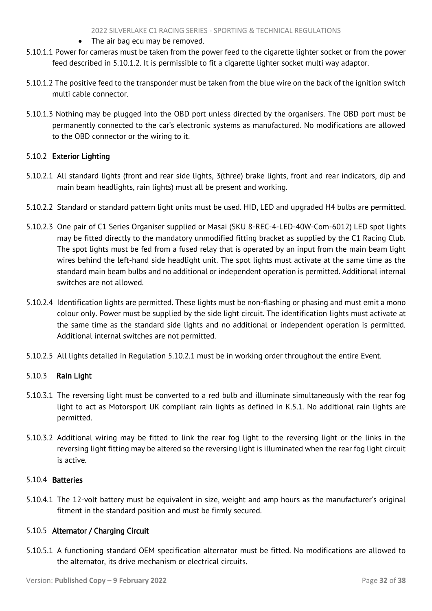- The air bag ecu may be removed.
- 5.10.1.1 Power for cameras must be taken from the power feed to the cigarette lighter socket or from the power feed described in 5.10.1.2. It is permissible to fit a cigarette lighter socket multi way adaptor.
- 5.10.1.2 The positive feed to the transponder must be taken from the blue wire on the back of the ignition switch multi cable connector.
- 5.10.1.3 Nothing may be plugged into the OBD port unless directed by the organisers. The OBD port must be permanently connected to the car's electronic systems as manufactured. No modifications are allowed to the OBD connector or the wiring to it.

# 5.10.2 Exterior Lighting

- 5.10.2.1 All standard lights (front and rear side lights, 3(three) brake lights, front and rear indicators, dip and main beam headlights, rain lights) must all be present and working.
- 5.10.2.2 Standard or standard pattern light units must be used. HID, LED and upgraded H4 bulbs are permitted.
- 5.10.2.3 One pair of C1 Series Organiser supplied or Masai (SKU 8-REC-4-LED-40W-Com-6012) LED spot lights may be fitted directly to the mandatory unmodified fitting bracket as supplied by the C1 Racing Club. The spot lights must be fed from a fused relay that is operated by an input from the main beam light wires behind the left-hand side headlight unit. The spot lights must activate at the same time as the standard main beam bulbs and no additional or independent operation is permitted. Additional internal switches are not allowed.
- 5.10.2.4 Identification lights are permitted. These lights must be non-flashing or phasing and must emit a mono colour only. Power must be supplied by the side light circuit. The identification lights must activate at the same time as the standard side lights and no additional or independent operation is permitted. Additional internal switches are not permitted.
- 5.10.2.5 All lights detailed in Regulation 5.10.2.1 must be in working order throughout the entire Event.

# 5.10.3 Rain Light

- 5.10.3.1 The reversing light must be converted to a red bulb and illuminate simultaneously with the rear fog light to act as Motorsport UK compliant rain lights as defined in K.5.1. No additional rain lights are permitted.
- 5.10.3.2 Additional wiring may be fitted to link the rear fog light to the reversing light or the links in the reversing light fitting may be altered so the reversing light is illuminated when the rear fog light circuit is active.

#### 5.10.4 Batteries

5.10.4.1 The 12-volt battery must be equivalent in size, weight and amp hours as the manufacturer's original fitment in the standard position and must be firmly secured.

# 5.10.5 Alternator / Charging Circuit

5.10.5.1 A functioning standard OEM specification alternator must be fitted. No modifications are allowed to the alternator, its drive mechanism or electrical circuits.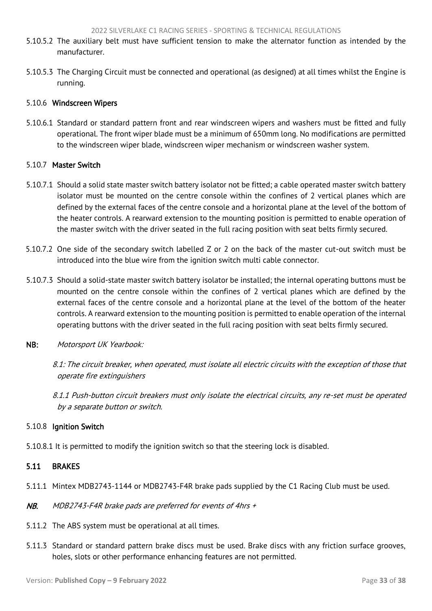- <span id="page-33-1"></span>5.10.5.2 The auxiliary belt must have sufficient tension to make the alternator function as intended by the manufacturer.
- 5.10.5.3 The Charging Circuit must be connected and operational (as designed) at all times whilst the Engine is running.

#### 5.10.6 Windscreen Wipers

5.10.6.1 Standard or standard pattern front and rear windscreen wipers and washers must be fitted and fully operational. The front wiper blade must be a minimum of 650mm long. No modifications are permitted to the windscreen wiper blade, windscreen wiper mechanism or windscreen washer system.

#### 5.10.7 Master Switch

- 5.10.7.1 Should a solid state master switch battery isolator not be fitted; a cable operated master switch battery isolator must be mounted on the centre console within the confines of 2 vertical planes which are defined by the external faces of the centre console and a horizontal plane at the level of the bottom of the heater controls. A rearward extension to the mounting position is permitted to enable operation of the master switch with the driver seated in the full racing position with seat belts firmly secured.
- 5.10.7.2 One side of the secondary switch labelled Z or 2 on the back of the master cut-out switch must be introduced into the blue wire from the ignition switch multi cable connector.
- 5.10.7.3 Should a solid-state master switch battery isolator be installed; the internal operating buttons must be mounted on the centre console within the confines of 2 vertical planes which are defined by the external faces of the centre console and a horizontal plane at the level of the bottom of the heater controls. A rearward extension to the mounting position is permitted to enable operation of the internal operating buttons with the driver seated in the full racing position with seat belts firmly secured.
- NB: Motorsport UK Yearbook:

8.1: The circuit breaker, when operated, must isolate all electric circuits with the exception of those that operate fire extinguishers

8.1.1 Push-button circuit breakers must only isolate the electrical circuits, any re-set must be operated by a separate button or switch.

#### 5.10.8 Ignition Switch

5.10.8.1 It is permitted to modify the ignition switch so that the steering lock is disabled.

## <span id="page-33-0"></span>5.11 BRAKES

- 5.11.1 Mintex MDB2743-1144 or MDB2743-F4R brake pads supplied by the C1 Racing Club must be used.
- NB. MDB2743-F4R brake pads are preferred for events of 4hrs +
- 5.11.2 The ABS system must be operational at all times.
- 5.11.3 Standard or standard pattern brake discs must be used. Brake discs with any friction surface grooves, holes, slots or other performance enhancing features are not permitted.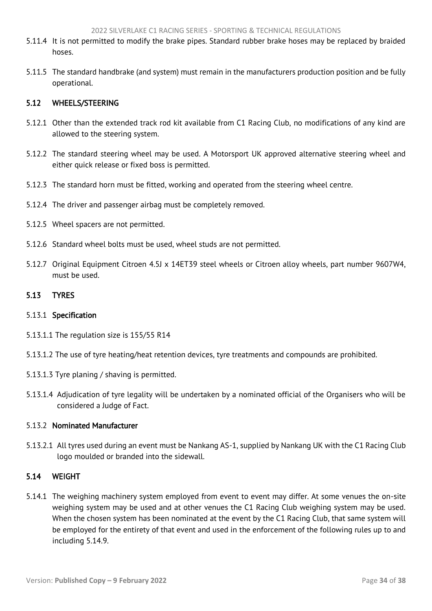- <span id="page-34-3"></span>5.11.4 It is not permitted to modify the brake pipes. Standard rubber brake hoses may be replaced by braided hoses.
- 5.11.5 The standard handbrake (and system) must remain in the manufacturers production position and be fully operational.

## <span id="page-34-0"></span>5.12 WHEELS/STEERING

- 5.12.1 Other than the extended track rod kit available from C1 Racing Club, no modifications of any kind are allowed to the steering system.
- 5.12.2 The standard steering wheel may be used. A Motorsport UK approved alternative steering wheel and either quick release or fixed boss is permitted.
- 5.12.3 The standard horn must be fitted, working and operated from the steering wheel centre.
- 5.12.4 The driver and passenger airbag must be completely removed.
- 5.12.5 Wheel spacers are not permitted.
- 5.12.6 Standard wheel bolts must be used, wheel studs are not permitted.
- 5.12.7 Original Equipment Citroen 4.5J x 14ET39 steel wheels or Citroen alloy wheels, part number 9607W4, must be used.

#### <span id="page-34-1"></span>5.13 TYRES

#### 5.13.1 Specification

- 5.13.1.1 The regulation size is 155/55 R14
- 5.13.1.2 The use of tyre heating/heat retention devices, tyre treatments and compounds are prohibited.
- 5.13.1.3 Tyre planing / shaving is permitted.
- 5.13.1.4 Adjudication of tyre legality will be undertaken by a nominated official of the Organisers who will be considered a Judge of Fact.

# 5.13.2 Nominated Manufacturer

5.13.2.1 All tyres used during an event must be Nankang AS-1, supplied by Nankang UK with the C1 Racing Club logo moulded or branded into the sidewall.

#### <span id="page-34-2"></span>5.14 WEIGHT

5.14.1 The weighing machinery system employed from event to event may differ. At some venues the on-site weighing system may be used and at other venues the C1 Racing Club weighing system may be used. When the chosen system has been nominated at the event by the C1 Racing Club, that same system will be employed for the entirety of that event and used in the enforcement of the following rules up to and including 5.14.9.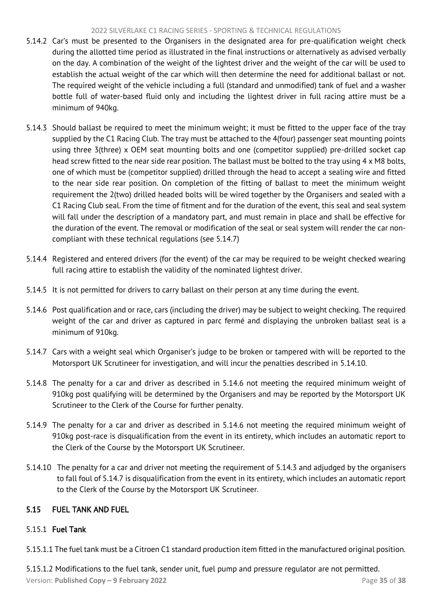#### 2022 SILVERLAKE C1 RACING SERIES - SPORTING & TECHNICAL REGULATIONS

- <span id="page-35-1"></span>5.14.2 Car's must be presented to the Organisers in the designated area for pre-qualification weight check during the allotted time period as illustrated in the final instructions or alternatively as advised verbally on the day. A combination of the weight of the lightest driver and the weight of the car will be used to establish the actual weight of the car which will then determine the need for additional ballast or not. The required weight of the vehicle including a full (standard and unmodified) tank of fuel and a washer bottle full of water-based fluid only and including the lightest driver in full racing attire must be a minimum of 940kg.
- 5.14.3 Should ballast be required to meet the minimum weight; it must be fitted to the upper face of the tray supplied by the C1 Racing Club. The tray must be attached to the 4(four) passenger seat mounting points using three 3(three) x OEM seat mounting bolts and one (competitor supplied) pre-drilled socket cap head screw fitted to the near side rear position. The ballast must be bolted to the tray using 4 x M8 bolts, one of which must be (competitor supplied) drilled through the head to accept a sealing wire and fitted to the near side rear position. On completion of the fitting of ballast to meet the minimum weight requirement the 2(two) drilled headed bolts will be wired together by the Organisers and sealed with a C1 Racing Club seal. From the time of fitment and for the duration of the event, this seal and seal system will fall under the description of a mandatory part, and must remain in place and shall be effective for the duration of the event. The removal or modification of the seal or seal system will render the car noncompliant with these technical regulations (see 5.14.7)
- 5.14.4 Registered and entered drivers (for the event) of the car may be required to be weight checked wearing full racing attire to establish the validity of the nominated lightest driver.
- 5.14.5 It is not permitted for drivers to carry ballast on their person at any time during the event.
- 5.14.6 Post qualification and or race, cars (including the driver) may be subject to weight checking. The required weight of the car and driver as captured in parc fermé and displaying the unbroken ballast seal is a minimum of 910kg.
- 5.14.7 Cars with a weight seal which Organiser's judge to be broken or tampered with will be reported to the Motorsport UK Scrutineer for investigation, and will incur the penalties described in 5.14.10.
- 5.14.8 The penalty for a car and driver as described in 5.14.6 not meeting the required minimum weight of 910kg post qualifying will be determined by the Organisers and may be reported by the Motorsport UK Scrutineer to the Clerk of the Course for further penalty.
- 5.14.9 The penalty for a car and driver as described in 5.14.6 not meeting the required minimum weight of 910kg post-race is disqualification from the event in its entirety, which includes an automatic report to the Clerk of the Course by the Motorsport UK Scrutineer.
- 5.14.10 The penalty for a car and driver not meeting the requirement of 5.14.3 and adjudged by the organisers to fall foul of 5.14.7 is disqualification from the event in its entirety, which includes an automatic report to the Clerk of the Course by the Motorsport UK Scrutineer.

# <span id="page-35-0"></span>5.15 FUEL TANK AND FUEL

# 5.15.1 Fuel Tank

5.15.1.1 The fuel tank must be a Citroen C1 standard production item fitted in the manufactured original position.

Version: **Published Copy – 9 February 2022** Page **35** of **38** 5.15.1.2 Modifications to the fuel tank, sender unit, fuel pump and pressure regulator are not permitted.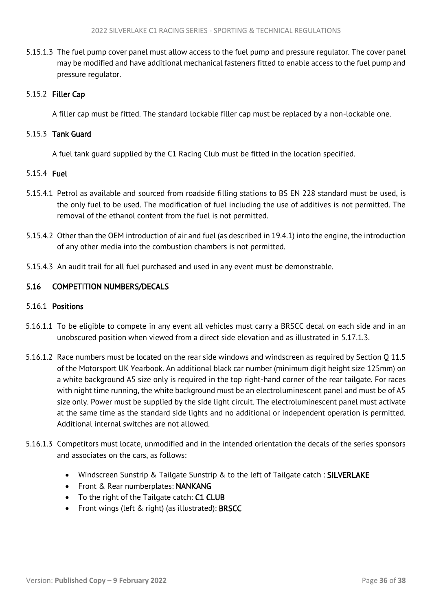<span id="page-36-1"></span>5.15.1.3 The fuel pump cover panel must allow access to the fuel pump and pressure regulator. The cover panel may be modified and have additional mechanical fasteners fitted to enable access to the fuel pump and pressure regulator.

# 5.15.2 Filler Cap

A filler cap must be fitted. The standard lockable filler cap must be replaced by a non-lockable one.

# 5.15.3 Tank Guard

A fuel tank guard supplied by the C1 Racing Club must be fitted in the location specified.

# 5.15.4 Fuel

- 5.15.4.1 Petrol as available and sourced from roadside filling stations to BS EN 228 standard must be used, is the only fuel to be used. The modification of fuel including the use of additives is not permitted. The removal of the ethanol content from the fuel is not permitted.
- 5.15.4.2 Other than the OEM introduction of air and fuel (as described in 19.4.1) into the engine, the introduction of any other media into the combustion chambers is not permitted.
- 5.15.4.3 An audit trail for all fuel purchased and used in any event must be demonstrable.

# <span id="page-36-0"></span>5.16 COMPETITION NUMBERS/DECALS

# 5.16.1 Positions

- 5.16.1.1 To be eligible to compete in any event all vehicles must carry a BRSCC decal on each side and in an unobscured position when viewed from a direct side elevation and as illustrated in 5.17.1.3.
- 5.16.1.2 Race numbers must be located on the rear side windows and windscreen as required by Section Q 11.5 of the Motorsport UK Yearbook. An additional black car number (minimum digit height size 125mm) on a white background A5 size only is required in the top right-hand corner of the rear tailgate. For races with night time running, the white background must be an electroluminescent panel and must be of A5 size only. Power must be supplied by the side light circuit. The electroluminescent panel must activate at the same time as the standard side lights and no additional or independent operation is permitted. Additional internal switches are not allowed.
- 5.16.1.3 Competitors must locate, unmodified and in the intended orientation the decals of the series sponsors and associates on the cars, as follows:
	- Windscreen Sunstrip & Tailgate Sunstrip & to the left of Tailgate catch: SILVERLAKE
	- Front & Rear numberplates: NANKANG
	- To the right of the Tailgate catch: C1 CLUB
	- Front wings (left & right) (as illustrated): BRSCC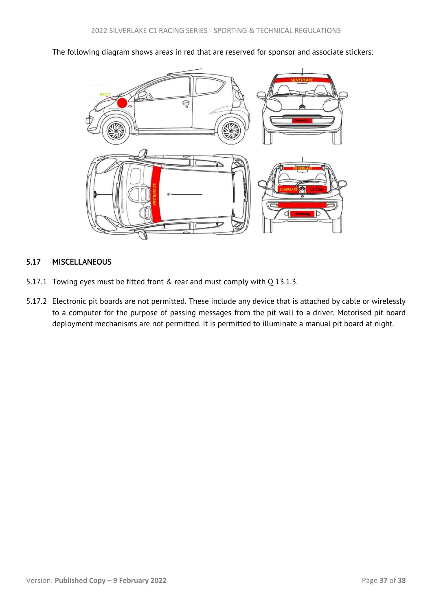<span id="page-37-1"></span>The following diagram shows areas in red that are reserved for sponsor and associate stickers:



# <span id="page-37-0"></span>5.17 MISCELLANEOUS

- 5.17.1 Towing eyes must be fitted front & rear and must comply with Q 13.1.3.
- 5.17.2 Electronic pit boards are not permitted. These include any device that is attached by cable or wirelessly to a computer for the purpose of passing messages from the pit wall to a driver. Motorised pit board deployment mechanisms are not permitted. It is permitted to illuminate a manual pit board at night.